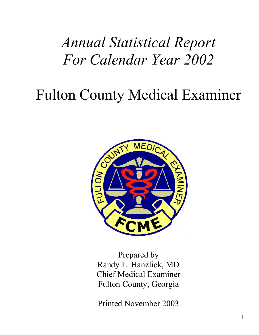# *Annual Statistical Report For Calendar Year 2002*

# Fulton County Medical Examiner



Prepared by Randy L. Hanzlick, MD Chief Medical Examiner Fulton County, Georgia

Printed November 2003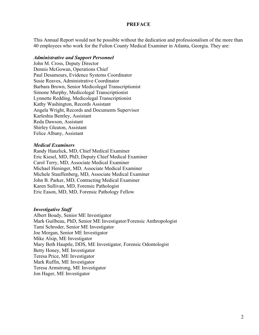#### **PREFACE**

This Annual Report would not be possible without the dedication and professionalism of the more than 40 employees who work for the Fulton County Medical Examiner in Atlanta, Georgia. They are:

#### *Administrative and Support Personnel*

John M. Cross, Deputy Director Dennis McGowan, Operations Chief Paul Desamours, Evidence Systems Coordinator Susie Reaves, Administrative Coordinator Barbara Brown, Senior Medicolegal Transcriptionist Simone Murphy, Medicolegal Transcriptionist Lynnette Redding, Medicolegal Transcriptionist Kathy Washington, Records Assistant Angela Wright, Records and Documents Supervisor Karleshia Bentley, Assistant Reda Dawson, Assistant Shirley Gleaton, Assistant Felice Albany, Assistant

#### *Medical Examiners*

Randy Hanzlick, MD, Chief Medical Examiner Eric Kiesel, MD, PhD, Deputy Chief Medical Examiner Carol Terry, MD, Associate Medical Examiner Michael Heninger, MD, Associate Medical Examiner Michele Stauffenberg, MD, Associate Medical Examiner John B. Parker, MD, Contracting Medical Examiner Karen Sullivan, MD, Forensic Pathologist Eric Eason, MD, MD, Forensic Pathology Fellow

#### *Investigative Staff*

Albert Boudy, Senior ME Investigator Mark Guilbeau, PhD, Senior ME Investigator/Forensic Anthropologist Tami Schroder, Senior ME Investigator Joe Morgan, Senior ME Investigator Mike Alsip, ME Investigator Mary Beth Hauptle, DDS, ME Investigator, Forensic Odontologist Betty Honey, ME Investigator Teresa Price, ME Investigator Mark Ruffin, ME Investigator Teresa Armstrong, ME Investigator Jon Hager, ME Investigator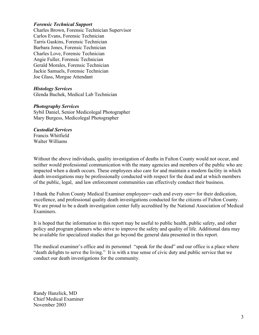#### *Forensic Technical Support*

Charles Brown, Forensic Technician Supervisor Carlos Evans, Forensic Technician Tarris Gaskins, Forensic Technician Barbara Jones, Forensic Technician Charles Love, Forensic Technician Angie Fuller, Forensic Technician Gerald Morales, Forensic Technician Jackie Samuels, Forensic Technician Joe Glass, Morgue Attendant

#### *Histology Services*

Glenda Buchek, Medical Lab Technician

#### *Photography Services*

Sybil Daniel, Senior Medicolegal Photographer Mary Burgess, Medicolegal Photographer

#### *Custodial Services*

Francis Whitfield Walter Williams

Without the above individuals, quality investigation of deaths in Fulton County would not occur, and neither would professional communication with the many agencies and members of the public who are impacted when a death occurs. These employees also care for and maintain a modern facility in which death investigations may be professionally conducted with respect for the dead and at which members of the public, legal, and law enforcement communities can effectively conduct their business.

I thank the Fulton County Medical Examiner employees— each and every one— for their dedication, excellence, and professional quality death investigations conducted for the citizens of Fulton County. We are proud to be a death investigation center fully accredited by the National Association of Medical Examiners.

It is hoped that the information in this report may be useful to public health, public safety, and other policy and program planners who strive to improve the safety and quality of life. Additional data may be available for specialized studies that go beyond the general data presented in this report.

The medical examiner's office and its personnel "speak for the dead" and our office is a place where "death delights to serve the living." It is with a true sense of civic duty and public service that we conduct our death investigations for the community.

Randy Hanzlick, MD Chief Medical Examiner November 2003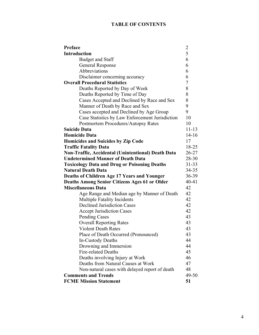## **TABLE OF CONTENTS**

| Preface                                              | $\overline{\mathbf{c}}$ |
|------------------------------------------------------|-------------------------|
| <b>Introduction</b>                                  | 5                       |
| <b>Budget and Staff</b>                              | 6                       |
| <b>General Response</b>                              | 6                       |
| Abbreviations                                        | 6                       |
| Disclaimer concerning accuracy                       | 6                       |
| <b>Overall Procedural Statistics</b>                 | 7                       |
| Deaths Reported by Day of Week                       | 8                       |
| Deaths Reported by Time of Day                       | 8                       |
| Cases Accepted and Declined by Race and Sex          | 8                       |
| Manner of Death by Race and Sex                      | 9                       |
| Cases accepted and Declined by Age Group             | 9                       |
| Case Statistics by Law Enforcement Jurisdiction      | 10                      |
| Postmortem Procedures/Autopsy Rates                  | 10                      |
| <b>Suicide Data</b>                                  | $11 - 13$               |
| <b>Homicide Data</b>                                 | $14 - 16$               |
| Homicides and Suicides by Zip Code                   | 17                      |
| <b>Traffic Fatality Data</b>                         | 18-25                   |
| Non-Traffic, Accidental (Unintentional) Death Data   | $26 - 27$               |
| <b>Undetermined Manner of Death Data</b>             | 28-30                   |
| <b>Toxicology Data and Drug or Poisoning Deaths</b>  | $31 - 33$               |
| <b>Natural Death Data</b>                            | $34 - 35$               |
| <b>Deaths of Children Age 17 Years and Younger</b>   | $36 - 39$               |
| <b>Deaths Among Senior Citizens Ages 61 or Older</b> | 40-41                   |
| <b>Miscellaneous Data</b>                            | 42                      |
| Age Range and Median age by Manner of Death          | 42                      |
| <b>Multiple Fatality Incidents</b>                   | 42                      |
| <b>Declined Jurisdiction Cases</b>                   | 42                      |
| <b>Accept Jurisdiction Cases</b>                     | 42                      |
| <b>Pending Cases</b>                                 | 43                      |
| <b>Overall Reporting Rates</b>                       | 43                      |
| <b>Violent Death Rates</b>                           | 43                      |
| Place of Death Occurred (Pronounced)                 | 43                      |
| In-Custody Deaths                                    | 44                      |
| Drowning and Immersion                               | 44                      |
| <b>Fire-related Deaths</b>                           | 45                      |
| Deaths involving Injury at Work                      | 46                      |
| Deaths from Natural Causes at Work                   | 47                      |
| Non-natural cases with delayed report of death       | 48                      |
| <b>Comments and Trends</b>                           | 49-50                   |
| <b>FCME Mission Statement</b>                        | 51                      |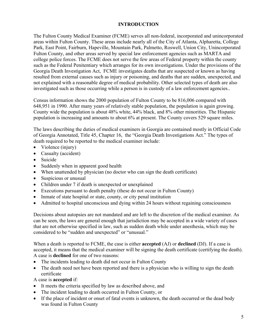#### **INTRODUCTION**

The Fulton County Medical Examiner (FCME) serves all non-federal, incorporated and unincorporated areas within Fulton County. These areas include nearly all of the City of Atlanta, Alpharetta, College Park, East Point, Fairburn, Hapeville, Mountain Park, Palmetto, Roswell, Union City, Unincorporated Fulton County, and other areas served by special law enforcement agencies such as MARTA and college police forces. The FCME does not serve the few areas of Federal property within the county such as the Federal Penitentiary which arranges for its own investigations. Under the provisions of the Georgia Death Investigation Act, FCME investigates deaths that are suspected or known as having resulted from external causes such as injury or poisoning, and deaths that are sudden, unexpected, and not explained with a reasonable degree of medical probability. Other selected types of death are also investigated such as those occurring while a person is in custody of a law enforcement agencies..

Census information shows the 2000 population of Fulton County to be 816,006 compared with 648,951 in 1990. After many years of relatively stable population, the population is again growing. County wide the population is about 48% white, 44% black, and 8% other minorities. The Hispanic population is increasing and amounts to about 6% at present. The County covers 529 square miles.

The laws describing the duties of medical examiners in Georgia are contained mostly in Official Code of Georgia Annotated, Title 45, Chapter 16, the "Georgia Death Investigations Act." The types of death required to be reported to the medical examiner include:

- Violence (injury)
- Casualty (accident)
- Suicide
- Suddenly when in apparent good health
- When unattended by physician (no doctor who can sign the death certificate)
- Suspicious or unusual
- Children under 7 if death is unexpected or unexplained
- Executions pursuant to death penalty (these do not occur in Fulton County)
- Inmate of state hospital or state, county, or city penal institution
- Admitted to hospital unconscious and dying within 24 hours without regaining consciousness

Decisions about autopsies are not mandated and are left to the discretion of the medical examiner. As can be seen, the laws are general enough that jurisdiction may be accepted in a wide variety of cases that are not otherwise specified in law, such as sudden death while under anesthesia, which may be considered to be "sudden and unexpected" or "unusual."

When a death is reported to FCME, the case is either **accepted** (AJ) or **declined** (DJ). If a case is accepted, it means that the medical examiner will be signing the death certificate (certifying the death). A case is **declined** for one of two reasons:

- The incidents leading to death did not occur in Fulton County
- The death need not have been reported and there is a physician who is willing to sign the death certificate

A case is **accepted** if:

- It meets the criteria specified by law as described above, and
- The incident leading to death occurred in Fulton County, or
- If the place of incident or onset of fatal events is unknown, the death occurred or the dead body was found in Fulton County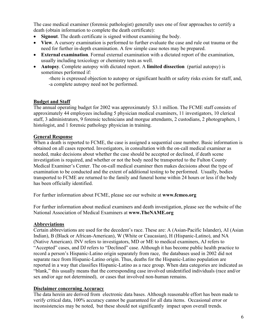The case medical examiner (forensic pathologist) generally uses one of four approaches to certify a death (obtain information to complete the death certificate):

- **Signout**. The death certificate is signed without examining the body.
- **View**. A cursory examination is performed to further evaluate the case and rule out trauma or the need for further in-depth examination. A few simple case notes may be prepared.
- **External examination**. Formal external examination with a dictated report of the examination, usually including toxicology or chemistry tests as well.
- **Autopsy**. Complete autopsy with dictated report. A **limited dissection** (partial autopsy) is sometimes performed if:

-there is expressed objection to autopsy or significant health or safety risks exists for staff, and, -a complete autopsy need not be performed.

#### **Budget and Staff**

The annual operating budget for 2002 was approximately \$3.1 million. The FCME staff consists of approximately 44 employees including 5 physician medical examiners, 11 investigators, 10 clerical staff, 3 administrators, 9 forensic technicians and morgue attendants, 2 custodians, 2 photographers, 1 histologist, and 1 forensic pathology physician in training.

#### **General Response**

When a death is reported to FCME, the case is assigned a sequential case number. Basic information is obtained on all cases reported. Investigators, in consultation with the on-call medical examiner as needed, make decisions about whether the case should be accepted or declined, if death scene investigation is required, and whether or not the body need be transported to the Fulton County Medical Examiner's Center. The on-call medical examiner then makes decisions about the type of examination to be conducted and the extent of additional testing to be performed. Usually, bodies transported to FCME are returned to the family and funeral home within 24 hours or less if the body has been officially identified.

For further information about FCME, please see our website at **www.fcmeo.org**

For further information about medical examiners and death investigation, please see the website of the National Association of Medical Examiners at **www.TheNAME.org**

#### **Abbreviations**

Certain abbreviations are used for the decedent's race. These are: A (Asian-Pacific Islander), AI (Asian Indian), B (Black or African-American), W (White or Caucasian), H (Hispanic-Latino), and NA (Native American). INV refers to investigators, MD or ME to medical examiners, AJ refers to "Accepted" cases, and DJ refers to "Declined" case. Although it has become public health practice to record a person's Hispanic-Latino origin separately from race, the databases used in 2002 did not separate race from Hispanic-Latino origin. Thus, deaths for the Hispanic-Latino population are reported in a way that classifies Hispanic-Latino as a race group. When data categories are indicated as "blank," this usually means that the corresponding case involved unidentified individuals (race and/or sex and/or age not determined), or cases that involved non-human remains.

#### **Disclaimer concerning Accuracy**

The data herein are derived from electronic data bases. Although reasonable effort has been made to verify critical data, 100% accuracy cannot be guaranteed for all data items. Occasional error or inconsistencies may be noted, but these should not significantly impact upon overall trends.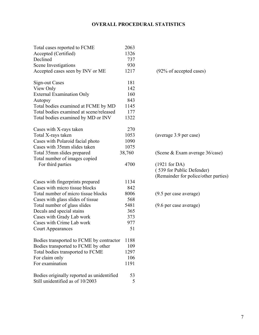## **OVERALL PROCEDURAL STATISTICS**

| 181<br><b>Sign-out Cases</b><br>142<br>View Only<br><b>External Examination Only</b><br>160<br>843<br>Autopsy<br>Total bodies examined at FCME by MD<br>1145<br>Total bodies examined at scene/released<br>177<br>Total bodies examined by MD or INV<br>1322<br>270<br>Cases with X-rays taken<br>1053<br>Total X-rays taken<br>(average 3.9 per case)<br>1090<br>Cases with Polaroid facial photo<br>Cases with 35mm slides taken<br>1075<br>38,760<br>Total 35mm slides prepared<br>(Scene & Exam average 36/case)<br>Total number of images copied<br>4700<br>For third parties<br>$(1921$ for DA)<br>(539 for Public Defender)<br>(Remainder for police/other parties)<br>1134<br>Cases with fingerprints prepared<br>Cases with micro tissue blocks<br>842<br>Total number of micro tissue blocks<br>8006<br>(9.5 per case average)<br>Cases with glass slides of tissue<br>568<br>5481<br>Total number of glass slides<br>(9.6 per case average)<br>Decals and special stains<br>365<br>Cases with Grady Lab work<br>373<br>Cases with Crime Lab work<br>977<br>51<br><b>Court Appearances</b><br>Bodies transported to FCME by contractor<br>1188<br>Bodies transported to FCME by other<br>109<br>Total bodies transported to FCME<br>1297<br>For claim only<br>106<br>For examination<br>1191<br>Bodies originally reported as unidentified<br>53 | Total cases reported to FCME<br>Accepted (Certified)<br>Declined<br>Scene Investigations<br>Accepted cases seen by INV or ME | 2063<br>1326<br>737<br>930<br>1217 | (92% of accepted cases) |
|------------------------------------------------------------------------------------------------------------------------------------------------------------------------------------------------------------------------------------------------------------------------------------------------------------------------------------------------------------------------------------------------------------------------------------------------------------------------------------------------------------------------------------------------------------------------------------------------------------------------------------------------------------------------------------------------------------------------------------------------------------------------------------------------------------------------------------------------------------------------------------------------------------------------------------------------------------------------------------------------------------------------------------------------------------------------------------------------------------------------------------------------------------------------------------------------------------------------------------------------------------------------------------------------------------------------------------------------------------|------------------------------------------------------------------------------------------------------------------------------|------------------------------------|-------------------------|
|                                                                                                                                                                                                                                                                                                                                                                                                                                                                                                                                                                                                                                                                                                                                                                                                                                                                                                                                                                                                                                                                                                                                                                                                                                                                                                                                                            |                                                                                                                              |                                    |                         |
|                                                                                                                                                                                                                                                                                                                                                                                                                                                                                                                                                                                                                                                                                                                                                                                                                                                                                                                                                                                                                                                                                                                                                                                                                                                                                                                                                            |                                                                                                                              |                                    |                         |
|                                                                                                                                                                                                                                                                                                                                                                                                                                                                                                                                                                                                                                                                                                                                                                                                                                                                                                                                                                                                                                                                                                                                                                                                                                                                                                                                                            |                                                                                                                              |                                    |                         |
|                                                                                                                                                                                                                                                                                                                                                                                                                                                                                                                                                                                                                                                                                                                                                                                                                                                                                                                                                                                                                                                                                                                                                                                                                                                                                                                                                            |                                                                                                                              |                                    |                         |
|                                                                                                                                                                                                                                                                                                                                                                                                                                                                                                                                                                                                                                                                                                                                                                                                                                                                                                                                                                                                                                                                                                                                                                                                                                                                                                                                                            |                                                                                                                              |                                    |                         |
|                                                                                                                                                                                                                                                                                                                                                                                                                                                                                                                                                                                                                                                                                                                                                                                                                                                                                                                                                                                                                                                                                                                                                                                                                                                                                                                                                            |                                                                                                                              |                                    |                         |
|                                                                                                                                                                                                                                                                                                                                                                                                                                                                                                                                                                                                                                                                                                                                                                                                                                                                                                                                                                                                                                                                                                                                                                                                                                                                                                                                                            |                                                                                                                              |                                    |                         |
|                                                                                                                                                                                                                                                                                                                                                                                                                                                                                                                                                                                                                                                                                                                                                                                                                                                                                                                                                                                                                                                                                                                                                                                                                                                                                                                                                            |                                                                                                                              |                                    |                         |
|                                                                                                                                                                                                                                                                                                                                                                                                                                                                                                                                                                                                                                                                                                                                                                                                                                                                                                                                                                                                                                                                                                                                                                                                                                                                                                                                                            |                                                                                                                              |                                    |                         |
|                                                                                                                                                                                                                                                                                                                                                                                                                                                                                                                                                                                                                                                                                                                                                                                                                                                                                                                                                                                                                                                                                                                                                                                                                                                                                                                                                            |                                                                                                                              |                                    |                         |
|                                                                                                                                                                                                                                                                                                                                                                                                                                                                                                                                                                                                                                                                                                                                                                                                                                                                                                                                                                                                                                                                                                                                                                                                                                                                                                                                                            |                                                                                                                              |                                    |                         |
|                                                                                                                                                                                                                                                                                                                                                                                                                                                                                                                                                                                                                                                                                                                                                                                                                                                                                                                                                                                                                                                                                                                                                                                                                                                                                                                                                            |                                                                                                                              |                                    |                         |
|                                                                                                                                                                                                                                                                                                                                                                                                                                                                                                                                                                                                                                                                                                                                                                                                                                                                                                                                                                                                                                                                                                                                                                                                                                                                                                                                                            |                                                                                                                              |                                    |                         |
|                                                                                                                                                                                                                                                                                                                                                                                                                                                                                                                                                                                                                                                                                                                                                                                                                                                                                                                                                                                                                                                                                                                                                                                                                                                                                                                                                            |                                                                                                                              |                                    |                         |
|                                                                                                                                                                                                                                                                                                                                                                                                                                                                                                                                                                                                                                                                                                                                                                                                                                                                                                                                                                                                                                                                                                                                                                                                                                                                                                                                                            |                                                                                                                              |                                    |                         |
|                                                                                                                                                                                                                                                                                                                                                                                                                                                                                                                                                                                                                                                                                                                                                                                                                                                                                                                                                                                                                                                                                                                                                                                                                                                                                                                                                            |                                                                                                                              |                                    |                         |
|                                                                                                                                                                                                                                                                                                                                                                                                                                                                                                                                                                                                                                                                                                                                                                                                                                                                                                                                                                                                                                                                                                                                                                                                                                                                                                                                                            |                                                                                                                              |                                    |                         |
|                                                                                                                                                                                                                                                                                                                                                                                                                                                                                                                                                                                                                                                                                                                                                                                                                                                                                                                                                                                                                                                                                                                                                                                                                                                                                                                                                            |                                                                                                                              |                                    |                         |
|                                                                                                                                                                                                                                                                                                                                                                                                                                                                                                                                                                                                                                                                                                                                                                                                                                                                                                                                                                                                                                                                                                                                                                                                                                                                                                                                                            |                                                                                                                              |                                    |                         |
|                                                                                                                                                                                                                                                                                                                                                                                                                                                                                                                                                                                                                                                                                                                                                                                                                                                                                                                                                                                                                                                                                                                                                                                                                                                                                                                                                            |                                                                                                                              |                                    |                         |
|                                                                                                                                                                                                                                                                                                                                                                                                                                                                                                                                                                                                                                                                                                                                                                                                                                                                                                                                                                                                                                                                                                                                                                                                                                                                                                                                                            |                                                                                                                              |                                    |                         |
|                                                                                                                                                                                                                                                                                                                                                                                                                                                                                                                                                                                                                                                                                                                                                                                                                                                                                                                                                                                                                                                                                                                                                                                                                                                                                                                                                            |                                                                                                                              |                                    |                         |
|                                                                                                                                                                                                                                                                                                                                                                                                                                                                                                                                                                                                                                                                                                                                                                                                                                                                                                                                                                                                                                                                                                                                                                                                                                                                                                                                                            |                                                                                                                              |                                    |                         |
|                                                                                                                                                                                                                                                                                                                                                                                                                                                                                                                                                                                                                                                                                                                                                                                                                                                                                                                                                                                                                                                                                                                                                                                                                                                                                                                                                            |                                                                                                                              |                                    |                         |
|                                                                                                                                                                                                                                                                                                                                                                                                                                                                                                                                                                                                                                                                                                                                                                                                                                                                                                                                                                                                                                                                                                                                                                                                                                                                                                                                                            |                                                                                                                              |                                    |                         |
|                                                                                                                                                                                                                                                                                                                                                                                                                                                                                                                                                                                                                                                                                                                                                                                                                                                                                                                                                                                                                                                                                                                                                                                                                                                                                                                                                            |                                                                                                                              |                                    |                         |
|                                                                                                                                                                                                                                                                                                                                                                                                                                                                                                                                                                                                                                                                                                                                                                                                                                                                                                                                                                                                                                                                                                                                                                                                                                                                                                                                                            |                                                                                                                              |                                    |                         |
|                                                                                                                                                                                                                                                                                                                                                                                                                                                                                                                                                                                                                                                                                                                                                                                                                                                                                                                                                                                                                                                                                                                                                                                                                                                                                                                                                            |                                                                                                                              |                                    |                         |
|                                                                                                                                                                                                                                                                                                                                                                                                                                                                                                                                                                                                                                                                                                                                                                                                                                                                                                                                                                                                                                                                                                                                                                                                                                                                                                                                                            |                                                                                                                              |                                    |                         |
|                                                                                                                                                                                                                                                                                                                                                                                                                                                                                                                                                                                                                                                                                                                                                                                                                                                                                                                                                                                                                                                                                                                                                                                                                                                                                                                                                            |                                                                                                                              |                                    |                         |
|                                                                                                                                                                                                                                                                                                                                                                                                                                                                                                                                                                                                                                                                                                                                                                                                                                                                                                                                                                                                                                                                                                                                                                                                                                                                                                                                                            |                                                                                                                              |                                    |                         |
|                                                                                                                                                                                                                                                                                                                                                                                                                                                                                                                                                                                                                                                                                                                                                                                                                                                                                                                                                                                                                                                                                                                                                                                                                                                                                                                                                            |                                                                                                                              |                                    |                         |
|                                                                                                                                                                                                                                                                                                                                                                                                                                                                                                                                                                                                                                                                                                                                                                                                                                                                                                                                                                                                                                                                                                                                                                                                                                                                                                                                                            |                                                                                                                              |                                    |                         |
|                                                                                                                                                                                                                                                                                                                                                                                                                                                                                                                                                                                                                                                                                                                                                                                                                                                                                                                                                                                                                                                                                                                                                                                                                                                                                                                                                            | Still unidentified as of 10/2003                                                                                             | 5                                  |                         |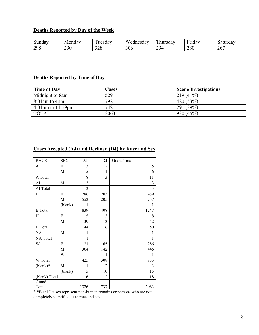#### **Deaths Reported by Day of the Week**

| -<br>sundav | Monday | $\mathbf{r}$<br>uesday      | $T$ $T$ $T$<br>/ednesdav<br>w | $\sim$<br>hursday | $\mathbf{r}$<br>- -<br>$-$<br>1dav | Saturday  |
|-------------|--------|-----------------------------|-------------------------------|-------------------|------------------------------------|-----------|
| 298         | 290    | $\sim$ $\sim$ $\sim$<br>ں∠ر | 306                           | 29 <sub>4</sub>   | 280                                | 267<br>∠∪ |

#### **Deaths Reported by Time of Day**

| <b>Time of Day</b>                    | Cases | <b>Scene Investigations</b> |
|---------------------------------------|-------|-----------------------------|
| Midnight to 8am                       | 529   | $219(41\%)$                 |
| $8:01$ am to 4pm                      | 792   | 420(53%)                    |
| $4:01 \text{pm}$ to $11:59 \text{pm}$ | 742   | 291(39%)                    |
| <b>TOTAL</b>                          | 2063  | 930(45%)                    |

#### **Cases Accepted (AJ) and Declined (DJ) by Race and Sex**

| <b>RACE</b>    | <b>SEX</b> | AJ             | DJ             | <b>Grand Total</b> |
|----------------|------------|----------------|----------------|--------------------|
| A              | F          | 3              | $\overline{c}$ | 5                  |
|                | M          | 5              | $\mathbf{1}$   | 6                  |
| A Total        |            | 8              | 3              | 11                 |
| AI             | M          | 3              |                | $\mathfrak{Z}$     |
| AI Total       |            | $\overline{3}$ |                | $\overline{3}$     |
| B              | F          | 286            | 203            | 489                |
|                | M          | 552            | 205            | 757                |
|                | (blank)    | 1              |                | 1                  |
| <b>B</b> Total |            | 839            | 408            | 1247               |
| Н              | ${\rm F}$  | 5              | 3              | 8                  |
|                | M          | 39             | 3              | 42                 |
| H Total        |            | 44             | 6              | 50                 |
| NA             | M          | 1              |                | 1                  |
| NA Total       |            | 1              |                | 1                  |
| W              | F          | 121            | 165            | 286                |
|                | M          | 304            | 142            | 446                |
|                | W          |                | 1              | 1                  |
| W Total        |            | 425            | 308            | 733                |
| $(blank)*$     | M          | 1              | $\overline{2}$ | $\overline{3}$     |
|                | (blank)    | 5              | 10             | 15                 |
| (blank) Total  |            | 6              | 12             | 18                 |
| Grand          |            |                |                |                    |
| Total          |            | 1326           | 737            | 2063               |

**\* "**Blank" cases represent non-human remains or persons who are not completely identified as to race and sex.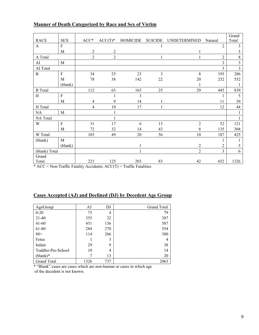|                |                |                |                |                                                                                    |                |                     |                | Grand          |
|----------------|----------------|----------------|----------------|------------------------------------------------------------------------------------|----------------|---------------------|----------------|----------------|
| <b>RACE</b>    | <b>SEX</b>     | $ACC*$         | $ACC(T)^*$     | <b>HOMICIDE</b>                                                                    | <b>SUICIDE</b> | <b>UNDETERMINED</b> | Natural        | Total          |
| $\mathbf{A}$   | ${\bf F}$      |                |                |                                                                                    |                |                     | $\overline{2}$ | $\mathfrak{Z}$ |
|                | M              | $\overline{c}$ | $\overline{2}$ |                                                                                    |                |                     |                | 5              |
| A Total        |                | $\overline{2}$ | $\overline{2}$ |                                                                                    |                |                     | $\overline{2}$ | $\,8\,$        |
| AI             | $\mathbf{M}$   |                |                |                                                                                    |                |                     | 3              | $\overline{3}$ |
| AI Total       |                |                |                |                                                                                    |                |                     | 3              | $\overline{3}$ |
| $\bf{B}$       | $\overline{F}$ | 34             | 25             | 23                                                                                 | $\overline{3}$ | 8                   | 193            | 286            |
|                | M              | 78             | 38             | 142                                                                                | 22             | 20                  | 252            | 552            |
|                | (blank)        |                |                |                                                                                    |                |                     |                | 1              |
| <b>B</b> Total |                | 112            | 63             | 165                                                                                | 25             | 29                  | 445            | 839            |
| H              | $\rm F$        |                |                | $\overline{\mathbf{3}}$                                                            |                |                     |                | 5              |
|                | M              | 4              | 9              | 14                                                                                 |                |                     | 11             | 39             |
| H Total        |                | 4              | 10             | 17                                                                                 |                |                     | 12             | 44             |
| NA             | M              |                |                |                                                                                    |                |                     |                | 1              |
| NA Total       |                |                | 1              |                                                                                    |                |                     |                | $\mathbf{1}$   |
| W              | $\overline{F}$ | 31             | 17             | 6                                                                                  | 13             | $\overline{2}$      | 52             | 121            |
|                | M              | 72             | 32             | 14                                                                                 | 43             | 8                   | 135            | 304            |
| W Total        |                | 103            | 49             | 20                                                                                 | 56             | 10                  | 187            | 425            |
| (blank)        | $\mathbf{M}$   |                |                |                                                                                    |                |                     |                |                |
|                | (blank)        |                |                |                                                                                    |                | 2                   | 2              | 5              |
| (blank) Total  |                |                |                | $\mathbf{1}$                                                                       |                | $\overline{2}$      | $\overline{3}$ | 6              |
| Grand          |                |                |                |                                                                                    |                |                     |                |                |
| Total          |                | 221            | 125            | 203<br>$* A C C =$ Non Troffic Estelity Accidents: $A C C(T) =$ Troffic Estelities | 83             | 42                  | 652            | 1326           |

#### **Manner of Death Categorized by Race and Sex of Victim**

 $ACC = Non-Traffic Fatality Accidents; ACC(T) = Traffic Fatalities$ 

#### **Cases Accepted (AJ) and Declined (DJ) by Decedent Age Group**

| AgeGroup           | AJ   | DJ  | <b>Grand Total</b> |
|--------------------|------|-----|--------------------|
| $0 - 20$           | 75   | 4   | 79                 |
| $21-40$            | 355  | 32  | 387                |
| $41 - 60$          | 451  | 136 | 587                |
| 61-80              | 284  | 270 | 554                |
| $80+$              | 114  | 266 | 380                |
| Fetus              |      | 3   |                    |
| Infant             | 29   | 9   | 38                 |
| Toddler-Pre-School | 10   | 4   | 14                 |
| $(blank)*$         |      | 13  | 20                 |
| <b>Grand Total</b> | 1326 | 737 | 2063               |

\* "Blank" cases are cases which are non-human or cases in which age of the decedent is not known.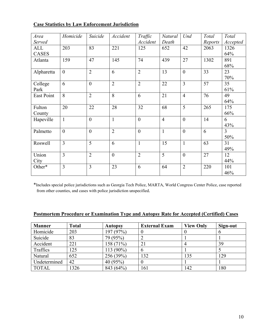| Area              | Homicide       | Suicide          | Accident       | Traffic          | Natural        | Und              | Total   | Total          |
|-------------------|----------------|------------------|----------------|------------------|----------------|------------------|---------|----------------|
| Served            |                |                  |                | Accident         | Death          |                  | Reports | Accepted       |
| <b>ALL</b>        | 203            | 83               | 221            | 125              | 652            | 42               | 2063    | 1326           |
| <b>CASES</b>      |                |                  |                |                  |                |                  |         | 64%            |
| Atlanta           | 159            | 47               | 145            | 74               | 439            | 27               | 1302    | 891            |
|                   |                |                  |                |                  |                |                  |         | 68%            |
| Alpharetta        | $\theta$       | $\overline{2}$   | 6              | $\overline{2}$   | 13             | $\overline{0}$   | 33      | 23             |
|                   |                |                  |                |                  |                |                  |         | 70%            |
| College           | 6              | $\theta$         | $\overline{2}$ | $\overline{2}$   | 22             | $\overline{3}$   | 57      | 35             |
| Park              |                |                  |                |                  |                |                  |         | 61%            |
| <b>East Point</b> | 8              | $\overline{2}$   | 8              | 6                | 21             | $\overline{4}$   | 76      | 49             |
|                   |                |                  |                |                  |                |                  |         | 64%            |
| Fulton            | 20             | 22               | 28             | 32               | 68             | 5                | 265     | 175            |
| County            |                |                  |                |                  |                |                  |         | 66%            |
| Hapeville         | $\mathbf{1}$   | $\boldsymbol{0}$ | $\mathbf{1}$   | $\boldsymbol{0}$ | $\overline{4}$ | $\boldsymbol{0}$ | 14      | 6              |
|                   |                |                  |                |                  |                |                  |         | 43%            |
| Palmetto          | $\overline{0}$ | $\overline{0}$   | $\overline{2}$ | $\overline{0}$   | $\mathbf{1}$   | $\overline{0}$   | 6       | $\overline{3}$ |
|                   |                |                  |                |                  |                |                  |         | 50%            |
| Roswell           | $\overline{3}$ | 5                | 6              | $\mathbf{1}$     | 15             | $\mathbf{1}$     | 63      | 31             |
|                   |                |                  |                |                  |                |                  |         | 49%            |
| Union             | $\overline{3}$ | $\overline{2}$   | $\overline{0}$ | $\overline{2}$   | 5              | $\overline{0}$   | 27      | 12             |
| City              |                |                  |                |                  |                |                  |         | 44%            |
| Other*            | $\overline{3}$ | $\overline{3}$   | 23             | 6                | 64             | $\overline{2}$   | 220     | 101            |
|                   |                |                  |                |                  |                |                  |         | 46%            |

#### **Case Statistics by Law Enforcement Jurisdiction**

\*Includes special police jurisdictions such as Georgia Tech Police, MARTA, World Congress Center Police, case reported from other counties, and cases with police jurisdiction unspecified.

#### **Postmortem Procedure or Examination Type and Autopsy Rate for Accepted (Certified) Cases**

| <b>Manner</b> | Total | <b>Autopsy</b> | <b>External Exam</b> | <b>View Only</b> | Sign-out |
|---------------|-------|----------------|----------------------|------------------|----------|
| Homicide      | 203   | 197 (97%)      |                      |                  |          |
| Suicide       | 83    | 79 (95%)       |                      |                  |          |
| Accident      | 221   | 158 (71%)      |                      |                  | 39       |
| Traffics      | 125   | 113 (90%)      | b                    |                  |          |
| Natural       | 652   | 256 (39%)      | 132                  | 135              | 129      |
| Undetermined  | 42    | 40 $(95%)$     |                      |                  |          |
| <b>TOTAL</b>  | 1326  | 843 (64%)      | 161                  | 142              | 180      |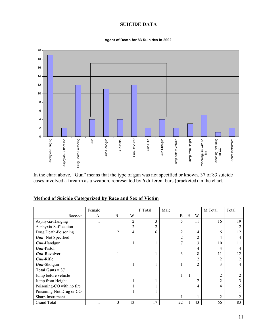#### **SUICIDE DATA**

#### **Agent of Death for 83 Suicides in 2002**



In the chart above, "Gun" means that the type of gun was not specified or known. 37 of 83 suicide cases involved a firearm as a weapon, represented by 6 different bars (bracketed) in the chart.

#### **Method of Suicide Categorized by Race and Sex of Victim**

|                           | Female |   |                | F Total | Male |   |                | M Total        | Total |
|---------------------------|--------|---|----------------|---------|------|---|----------------|----------------|-------|
| $Race \geq$               | A      | B | W              |         | B    | Н | W              |                |       |
| Asphyxia-Hanging          |        |   | $\overline{2}$ | 3       | 5    |   | 11             | 16             | 19    |
| Asphyxia-Suffocation      |        |   | 2              |         |      |   |                |                |       |
| Drug Death-Poisoning      |        | 2 | 4              | 6       | 2    |   | 4              | 6              | 12    |
| <b>Gun-Not Specified</b>  |        |   |                |         | 2    |   | $\overline{2}$ | 4              | 4     |
| Gun-Handgun               |        |   |                |         | 7    |   | 3              | 10             | 11    |
| <b>Gun-Pistol</b>         |        |   |                |         |      |   | 4              | 4              | 4     |
| <b>Gun-Revolver</b>       |        |   |                |         | 3    |   | 8              | 11             | 12    |
| <b>Gun-Rifle</b>          |        |   |                |         |      |   | $\overline{2}$ | 2              | າ     |
| Gun-Shotgun               |        |   |                |         |      |   | $\overline{2}$ | 3              | 4     |
| Total Guns $= 37$         |        |   |                |         |      |   |                |                |       |
| Jump before vehicle       |        |   |                |         |      |   |                | $\overline{2}$ |       |
| Jump from Height          |        |   |                |         |      |   | 2              | 2              |       |
| Poisoning-CO with no fire |        |   |                |         |      |   | 4              | 4              |       |
| Poisoning-Not Drug or CO  |        |   |                |         |      |   |                |                |       |
| Sharp Instrument          |        |   |                |         |      |   |                | $\overline{2}$ |       |
| <b>Grand Total</b>        |        | 3 | 13             | 17      | 22   |   | 43             | 66             | 83    |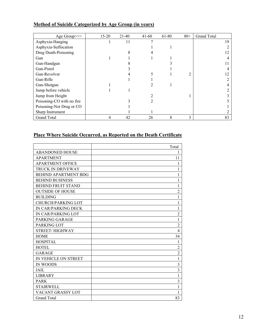| Age Group>>>              | $15 - 20$ | $21-40$ | $41 - 60$ | 61-80 | $80+$ | <b>Grand Total</b> |
|---------------------------|-----------|---------|-----------|-------|-------|--------------------|
| Asphyxia-Hanging          |           | 11      |           |       |       | 19                 |
| Asphyxia-Suffocation      |           |         |           |       |       |                    |
| Drug Death-Poisoning      |           |         |           |       |       |                    |
| Gun                       |           |         |           |       |       |                    |
| Gun-Handgun               |           |         |           |       |       |                    |
| Gun-Pistol                |           |         |           |       |       |                    |
| Gun-Revolver              |           |         |           |       | 2     |                    |
| Gun-Rifle                 |           |         |           |       |       |                    |
| Gun-Shotgun               |           |         |           |       |       |                    |
| Jump before vehicle       |           |         |           |       |       |                    |
| Jump from Height          |           |         |           |       |       |                    |
| Poisoning-CO with no fire |           |         |           |       |       |                    |
| Poisoning-Not Drug or CO  |           |         |           |       |       |                    |
| Sharp Instrument          |           |         |           |       |       |                    |
| <b>Grand Total</b>        | 4         | 42      | 26        | 8     | 3     | 83                 |

## **Method of Suicide Categorized by Age Group (in years)**

#### **Place Where Suicide Occurred, as Reported on the Death Certificate**

|                             | Total          |
|-----------------------------|----------------|
| <b>ABANDONED HOUSE</b>      | 1              |
| <b>APARTMENT</b>            | 11             |
| <b>APARTMENT OFFICE</b>     | 1              |
| TRUCK IN DRIVEWAY           | 1              |
| <b>BEHIND APARTMENT BDG</b> |                |
| <b>BEHIND BUSINESS</b>      |                |
| <b>BEHIND FRUIT STAND</b>   | 1              |
| <b>OUTSIDE OF HOUSE</b>     | $\overline{2}$ |
| <b>BUILDING</b>             | 1              |
| <b>CHURCH/PARKING LOT</b>   | 1              |
| IN CAR/PARKING DECK         | 1              |
| IN CAR/PARKING LOT          | $\overline{c}$ |
| PARKING GARAGE              | 1              |
| PARKING LOT                 | $\overline{2}$ |
| <b>STREET/HIGHWAY</b>       | 4              |
| <b>HOME</b>                 | 34             |
| <b>HOSPITAL</b>             | 1              |
| HOTEL                       | $\overline{2}$ |
| <b>GARAGE</b>               | $\overline{2}$ |
| IN VEHICLE ON STREET        | 1              |
| IN WOODS                    | 3              |
| JAIL                        | 3              |
| <b>LIBRARY</b>              | 1              |
| <b>PARK</b>                 | 3              |
| <b>STAIRWELL</b>            | 1              |
| VACANT GRASSY LOT           | 1              |
| <b>Grand Total</b>          | 83             |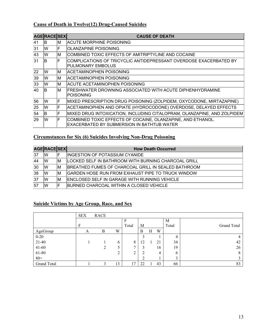#### **Cause of Death in Twelve(12) Drug-Caused Suicides**

|     | <b>AGE RACE SEX</b> |     | <b>CAUSE OF DEATH</b>                                                                                     |
|-----|---------------------|-----|-----------------------------------------------------------------------------------------------------------|
| l41 | lB.                 | IM  | ACUTE MORPHINE POISONING                                                                                  |
| 31  | lW                  | F   | <b>OLANZAPINE POISONING</b>                                                                               |
| 43  | lW                  | lM. | COMBINED TOXIC EFFECTS OF AMITRIPTYLINE AND COCAINE                                                       |
| 31  | lB.                 | IF. | COMPLICATIONS OF TRICYCLIC ANTIDEPRESSANT OVERDOSE EXACERBATED BY<br><b>PULMONARY EMBOLUS</b>             |
| 22  | lW                  | ΙM  | ACETAMINOPHEN POISONING                                                                                   |
| 39  | lW                  | lM. | ACETAMINOPHEN POISONING                                                                                   |
| 33  | lW                  | lM. | ACUTE ACETAMINOPHEN POISONING                                                                             |
| 40  | lB.                 | IM  | IFRESHWATER DROWNING ASSOCIATED WITH ACUTE DIPHENHYDRAMINE<br><b>POISONING</b>                            |
| 56  | lW                  | F   | MIXED PRESCRIPTION DRUG POISONING (ZOLPIDEM, OXYCODONE, MIRTAZAPINE)                                      |
| 25  | lW                  | F   | ACETAMINOPHEN AND OPIATE (HYDROCODONE) OVERDOSE, DELAYED EFFECTS                                          |
| 54  | lB.                 | IF. | MIXED DRUG INTOXICATION, INCLUDING CITALOPRAM, OLANZAPINE, AND ZOLPIDEM                                   |
| 29  | lW                  | F   | COMBINED TOXIC EFFECTS OF COCAINE, OLANZAPINE, AND ETHANOL.<br>EXACERBATED BY SUBMERSION IN BATHTUB WATER |

#### **Circumstances for Six (6) Suicides Involving Non-Drug Poisoning**

|     | <b>AGERACESEXI</b> |    | <b>How Death Occurred</b>                                   |
|-----|--------------------|----|-------------------------------------------------------------|
| 137 | IW                 |    | <b>INGESTION OF POTASSIUM CYANIDE</b>                       |
| 44  | IW.                | ΙM | LOCKED SELF IN BATHROOM WITH BURNING CHARCOAL GRILL         |
| 30  | IW                 | ΙM | <b>IBREATHED FUMES OF CHARCOAL GRILL IN SEALED BATHROOM</b> |
| 38  | W                  | ΙM | <b>IGARDEN HOSE RUN FROM EXHAUST PIPE TO TRUCK WINDOW</b>   |
| 37  | W                  | ΙM | <b>ENCLOSED SELF IN GARAGE WITH RUNNING VEHICLE</b>         |
| 57  | lW                 |    | IBURNED CHARCOAL WITHIN A CLOSED VEHICLE.                   |

#### **Suicide Victims by Age Group, Race, and Sex**

|                    | <b>SEX</b> | <b>RACE</b> |              |              |    |   |    |              |                    |
|--------------------|------------|-------------|--------------|--------------|----|---|----|--------------|--------------------|
|                    |            |             |              |              |    |   |    | M            |                    |
|                    | F          |             |              | Total        | M  |   |    | Total        | <b>Grand Total</b> |
| AgeGroup           | A          | B           | W            |              | B  | Н | W  |              |                    |
| $0 - 20$           |            |             |              |              |    |   |    | 4            | 4                  |
| $21-40$            |            |             | $\mathbf{6}$ | 8            | 12 |   | 21 | 34           | 42                 |
| $41 - 60$          |            |             | ر            | $\mathbf{r}$ |    |   | 16 | 19           | 26                 |
| 61-80              |            |             | ◠<br>∠       | C<br>∠       |    |   | 4  | <sub>0</sub> | 8                  |
| $80+$              |            |             |              |              |    |   |    | 3            |                    |
| <b>Grand Total</b> |            |             | 13           | 7            | 22 |   | 43 | 66           | 83                 |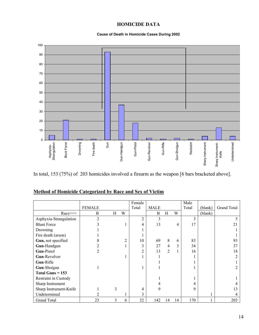## **HOMICIDE DATA**

#### **Cause of Death in Homicide Cases During 2002**



In total, 153 (75%) of 203 homicides involved a firearm as the weapon [6 bars bracketed above].

|                        |                |   |                | Female         |             |                |    | Male  |         |             |
|------------------------|----------------|---|----------------|----------------|-------------|----------------|----|-------|---------|-------------|
|                        | <b>FEMALE</b>  |   |                | Total          | <b>MALE</b> |                |    | Total | (blank) | Grand Total |
| $Race \gg\gg$          | B              | Η | W              |                | B           | Η              | W  |       | (blank) |             |
| Asphyxia-Strangulation | $\mathfrak{D}$ |   |                | $\overline{c}$ | 3           |                |    | 3     |         |             |
| <b>Blunt Force</b>     |                |   |                | 4              | 13          |                | 4  | 17    |         | 21          |
| Drowning               |                |   |                |                |             |                |    |       |         |             |
| Fire death (arson)     |                |   |                |                |             |                |    |       |         |             |
| Gun, not specified     |                |   | $\overline{2}$ | 10             | 69          | 8              | 6  | 83    |         | 93          |
| Gun-Handgun            |                |   |                | 3              | 27          | 4              | 3  | 34    |         | 37          |
| Gun-Pistol             |                |   |                | $\overline{c}$ | 13          | $\overline{2}$ |    | 16    |         | 18          |
| Gun-Revolver           |                |   |                |                |             |                |    |       |         |             |
| Gun-Rifle              |                |   |                |                |             |                |    |       |         |             |
| Gun-Shotgun            |                |   |                |                |             |                |    |       |         |             |
| Total Guns $= 153$     |                |   |                |                |             |                |    |       |         |             |
| Restraint in Custody   |                |   |                |                |             |                |    |       |         |             |
| Sharp Instrument       |                |   |                |                |             |                |    | 4     |         |             |
| Sharp Instrument-Knife |                | 3 |                | 4              | 9           |                |    | 9     |         | 13          |
| Undetermined           |                |   |                | 3              |             |                |    |       |         |             |
| <b>Grand Total</b>     | 23             | 3 | 6              | 32             | 142         | 14             | 14 | 170   |         | 203         |

#### **Method of Homicide Categorized by Race and Sex of Victim**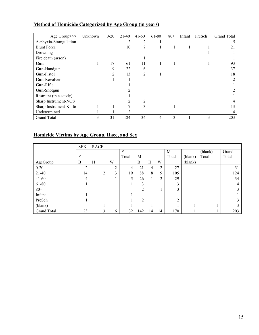| Age Group>>>           | Unknown | $0 - 20$ | $21-40$      | $41 - 60$      | 61-80 | $80+$ | Infant | PreSch | <b>Grand Total</b> |
|------------------------|---------|----------|--------------|----------------|-------|-------|--------|--------|--------------------|
| Asphyxia-Strangulation |         |          | 2            | 2              |       |       |        |        |                    |
| <b>Blunt Force</b>     |         |          | 10           | 7              |       |       |        |        | 21                 |
| Drowning               |         |          |              |                |       |       |        |        |                    |
| Fire death (arson)     |         |          |              |                |       |       |        |        |                    |
| Gun                    |         | 17       | 61           | 11             |       |       |        |        | 93                 |
| Gun-Handgun            |         | 9        | 22           | 6              |       |       |        |        | 37                 |
| Gun-Pistol             |         | ∍        | 13           | $\overline{2}$ |       |       |        |        | 18                 |
| Gun-Revolver           |         |          |              |                |       |       |        |        |                    |
| Gun-Rifle              |         |          |              |                |       |       |        |        |                    |
| Gun-Shotgun            |         |          |              |                |       |       |        |        |                    |
| Restraint (in custody) |         |          |              |                |       |       |        |        |                    |
| Sharp Instrument-NOS   |         |          |              | 2              |       |       |        |        |                    |
| Sharp Instrument-Knife |         |          | $\mathbf{r}$ | 3              |       |       |        |        |                    |
| Undetermined           |         |          |              |                |       |       |        |        |                    |
| <b>Grand Total</b>     | 3       | 31       | 124          | 34             | 4     | 3     |        | 3      | 203                |

## **Method of Homicide Categorized by Age Group (in years)**

#### **Homicide Victims by Age Group, Race, and Sex**

|             | <b>SEX</b> | RACE |   |        |       |                |    |    |               |         |         |       |
|-------------|------------|------|---|--------|-------|----------------|----|----|---------------|---------|---------|-------|
|             |            |      |   |        | F     |                |    |    | M             |         | (blank) | Grand |
|             | F          |      |   |        | Total | М              |    |    | Total         | (blank) | Total   | Total |
| AgeGroup    | B          | Н    |   | W      |       | $\bf{B}$       | H  | W  |               | (blank) |         |       |
| $0 - 20$    | C          |      |   | C<br>∠ | 4     | 21             | 4  | 2  | 27            |         |         | 31    |
| $21-40$     | 14         |      | 2 | 3      | 19    | 88             | 8  | 9  | 105           |         |         | 124   |
| $41 - 60$   | 4          |      |   |        |       | 26             |    | 2  | 29            |         |         | 34    |
| 61-80       |            |      |   |        |       | 3              |    |    | 3             |         |         | 4     |
| $80 +$      |            |      |   |        |       | 2              |    |    | 3             |         |         | 3     |
| Infant      |            |      |   |        |       |                |    |    |               |         |         |       |
| PreSch      |            |      |   |        |       | $\overline{2}$ |    |    | $\gamma$<br>∠ |         |         | 3     |
| (blank)     |            |      |   |        |       |                |    |    |               |         |         | 3     |
| Grand Total | 23         |      | 3 | 6      | 32    | 142            | 14 | 14 | 170           |         |         | 203   |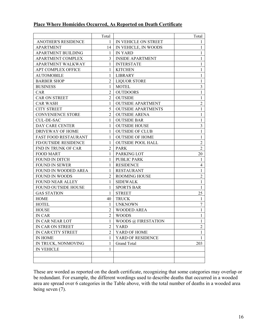#### **Place Where Homicides Occurred, As Reported on Death Certificate**

|                             | Total          |                           | Total          |
|-----------------------------|----------------|---------------------------|----------------|
| <b>ANOTHER'S RESIDENCE</b>  | 1              | IN VEHICLE ON STREET      | $\mathbf{I}$   |
| <b>APARTMENT</b>            | 14             | IN VEHICLE, IN WOODS      | $\mathbf{1}$   |
| <b>APARTMENT BUILDING</b>   | 1              | <b>IN YARD</b>            | $\mathbf{1}$   |
| <b>APARTMENT COMPLEX</b>    | 3              | <b>INSIDE APARTMENT</b>   | $\mathbf{1}$   |
| <b>APARTMENT WALKWAY</b>    | 1              | <b>INTERSTATE</b>         | 1              |
| APT COMPLEX OFFICE          | 1              | <b>KITCHEN</b>            | $\mathbf{1}$   |
| <b>AUTOMOBILE</b>           | 1              | LIBRARY                   | $\mathbf{1}$   |
| <b>BARBER SHOP</b>          | $\overline{2}$ | <b>LIOUOR STORE</b>       | $\mathbf{1}$   |
| <b>BUSINESS</b>             | 1              | <b>MOTEL</b>              | 3              |
| CAR                         | $\overline{2}$ | <b>OUTDOORS</b>           | $\mathbf{1}$   |
| CAR ON STREET               | $\overline{2}$ | <b>OUTSIDE</b>            | 1              |
| <b>CAR WASH</b>             | 1              | <b>OUTSIDE APARTMENT</b>  | $\overline{c}$ |
| <b>CITY STREET</b>          | 5              | <b>OUTSIDE APARTMENTS</b> | $\mathbf{1}$   |
| <b>CONVENIENCE STORE</b>    | $\overline{2}$ | <b>OUTSIDE ARENA</b>      | $\mathbf{1}$   |
| <b>CUL-DE-SAC</b>           | 1              | <b>OUTSIDE BAR</b>        | $\mathbf{1}$   |
| <b>DAY CARE CENTER</b>      | 1              | <b>OUTSIDE HOUSE</b>      | 3              |
| DRIVEWAY OF HOME            | 1              | <b>OUTSIDE OF CLUB</b>    | $\mathbf{1}$   |
| <b>FAST FOOD RESTAURANT</b> | 1              | <b>OUTSIDE OF HOME</b>    | $\mathbf{1}$   |
| <b>FD/OUTSIDE RESIDENCE</b> | 1              | <b>OUTSIDE POOL HALL</b>  | $\overline{2}$ |
| FND IN TRUNK OF CAR         | $\overline{2}$ | <b>PARK</b>               | 2              |
| <b>FOOD MART</b>            | 1              | PARKING LOT               | 20             |
| <b>FOUND IN DITCH</b>       | 1              | <b>PUBLIC PARK</b>        | $\mathbf{1}$   |
| <b>FOUND IN SEWER</b>       | 1              | <b>RESIDENCE</b>          | $\overline{4}$ |
| FOUND IN WOODED AREA        | 1              | <b>RESTAURANT</b>         | 1              |
| <b>FOUND IN WOODS</b>       | $\overline{2}$ | <b>ROOMING HOUSE</b>      | $\overline{2}$ |
| <b>FOUND NEAR ALLEY</b>     | 1              | <b>SIDEWALK</b>           | $\mathbf{1}$   |
| FOUND OUTSIDE HOUSE         | 1              | <b>SPORTS BAR</b>         | $\mathbf{1}$   |
| <b>GAS STATION</b>          | 1              | <b>STREET</b>             | 25             |
| <b>HOME</b>                 | 40             | <b>TRUCK</b>              | 1              |
| <b>HOTEL</b>                | 1              | <b>UNKNOWN</b>            | 7              |
| <b>HOUSE</b>                | $\overline{2}$ | <b>WOODED AREA</b>        | $\mathbf{1}$   |
| <b>IN CAR</b>               | $\overline{2}$ | <b>WOODS</b>              | $\mathbf{1}$   |
| IN CAR NEAR LOT             | 1              | WOODS @ FIRESTATION       | $\mathbf{1}$   |
| IN CAR ON STREET            | $\overline{2}$ | YARD                      | $\overline{2}$ |
| IN CAR/CITY STREET          | $\overline{2}$ | YARD OF HOME              | 1              |
| IN HOME                     | 1              | YARD OF RESIDENCE         | $\mathbf{1}$   |
| IN TRUCK, NONMOVING         | 1              | <b>Grand Total</b>        | 203            |
| <b>IN VEHICLE</b>           | 1              |                           |                |
|                             |                |                           |                |
|                             |                |                           |                |

These are worded as reported on the death certificate, recognizing that some categories may overlap or be redundant. For example, the different wordings used to describe deaths that occurred in a wooded area are spread over 6 categories in the Table above, with the total number of deaths in a wooded area being seven (7).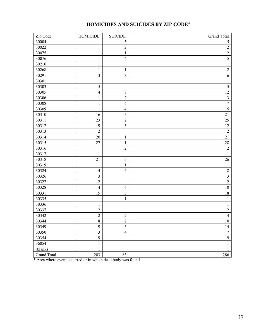## **HOMICIDES AND SUICIDES BY ZIP CODE\***

| Zip Code           | <b>HOMICIDE</b>  | <b>SUICIDE</b> | <b>Grand Total</b>      |
|--------------------|------------------|----------------|-------------------------|
| 30004              |                  | $\mathfrak s$  | 5                       |
| 30022              |                  | $\overline{c}$ | $\overline{c}$          |
| 30075              | $\mathbf{1}$     | $\,1\,$        | $\sqrt{2}$              |
| 30076              | $\mathbf{1}$     | $\overline{4}$ | $\overline{5}$          |
| 30210              | $\mathbf{1}$     |                | $\,1$                   |
| 30268              | $\mathbf{1}$     | $\mathbf{1}$   | $\overline{c}$          |
| 30291              | $\mathfrak{Z}$   | $\overline{3}$ | 6                       |
| 30301              | 1                |                | $\,1$                   |
| 30303              | 5                |                | $\overline{\mathbf{5}}$ |
| 30305              | $\overline{4}$   | $\,8\,$        | 12                      |
| 30306              | $\mathbf{1}$     | $\overline{2}$ | $\mathfrak{Z}$          |
| 30308              | 1                | 6              | $\overline{7}$          |
| 30309              | 1                | $\overline{4}$ | 5                       |
| 30310              | 16               | 5              | $21\,$                  |
| 30311              | 23               | $\sqrt{2}$     | $25\,$                  |
| 30312              | 9                | $\overline{3}$ | 12                      |
| 30313              | $\overline{2}$   |                | $\overline{2}$          |
| 30314              | $20\,$           | $\mathbf{1}$   | 21                      |
| 30315              | 27               | $\mathbf 1$    | $28\,$                  |
| 30316              |                  | $\overline{2}$ | $\overline{c}$          |
| 30317              | 1                |                | $\mathbf{1}$            |
| 30318              | 21               | 5              | $26\,$                  |
| 30319              |                  | $\,1\,$        | $\mathbf{1}$            |
| 30324              | $\overline{4}$   | $\overline{4}$ | $\,8\,$                 |
| 30326              | $\overline{3}$   |                | $\overline{\mathbf{3}}$ |
| 30327              | $\overline{2}$   |                | $\sqrt{2}$              |
| 30328              | $\overline{4}$   | $\sqrt{6}$     | $10\,$                  |
| 30331              | 15               | $\overline{3}$ | $18\,$                  |
| 30335              |                  | $\mathbf 1$    | $\,1$                   |
| 30336              | $\mathbf{1}$     |                | $\mathbf{1}$            |
| 30337              | $\sqrt{2}$       |                | $\sqrt{2}$              |
| 30342              | $\overline{2}$   | $\sqrt{2}$     | $\overline{4}$          |
| 30344              | $8\,$            | $\overline{2}$ | $10\,$                  |
| 30349              | $\boldsymbol{9}$ | $\mathfrak s$  | 14                      |
| 30350              | $\overline{3}$   | $\overline{4}$ | $\boldsymbol{7}$        |
| 30354              | 9                |                | $\overline{9}$          |
| 36054              | $\mathbf{1}$     |                | $\mathbf{1}$            |
| (blank)            | $\mathbf{1}$     |                | $\,1\,$                 |
| <b>Grand Total</b> | 203              | 83             | 286                     |

\* Area where event occurred or in which dead body was found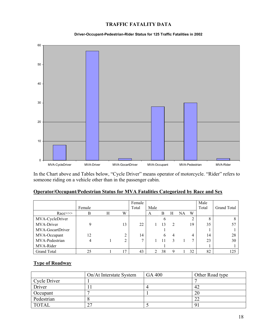#### **TRAFFIC FATALITY DATA**

#### **Driver-Occupant-Pedestrian-Rider Status for 125 Traffic Fatalities in 2002**



In the Chart above and Tables below, "Cycle Driver" means operator of motorcycle. "Rider" refers to someone riding on a vehicle other than in the passenger cabin.

|  |  |  | Operator/Occupant/Pedestrian Status for MVA Fatalities Categorized by Race and Sex |  |
|--|--|--|------------------------------------------------------------------------------------|--|
|  |  |  |                                                                                    |  |

|                    | Female      |   |    | Female<br>Total | Male |    |               |    |    | Male<br>Total | <b>Grand Total</b> |
|--------------------|-------------|---|----|-----------------|------|----|---------------|----|----|---------------|--------------------|
| $Race \ge \ge$     | B           | Н | W  |                 | A    | B  | H             | NA | W  |               |                    |
| MVA-CycleDriver    |             |   |    |                 |      | b  |               |    | 2  | 8             |                    |
| MVA-Driver         | $\mathbf Q$ |   | 13 | 22              |      | 13 | $\mathcal{D}$ |    | 19 | 35            | 57                 |
| MVA-GocartDriver   |             |   |    |                 |      |    |               |    |    |               |                    |
| MVA-Occupant       | 12          |   |    | 14              |      | h  | 4             |    | 4  | 14            | 28                 |
| MVA-Pedestrian     | 4           |   | ◠  |                 |      | 11 |               |    | 7  | 23            | 30                 |
| MVA-Rider          |             |   |    |                 |      |    |               |    |    |               |                    |
| <b>Grand Total</b> | 25          |   | 17 | 43              | ∍    | 38 | Q             |    | 32 | 82            | 125                |

#### **Type of Roadway**

|              | On/At Interstate System | GA 400 | Other Road type |
|--------------|-------------------------|--------|-----------------|
| Cycle Driver |                         |        |                 |
| Driver       |                         |        | 42              |
| Occupant     |                         |        | 20              |
| Pedestrian   |                         |        | 22              |
| <b>TOTAL</b> | ົ                       |        |                 |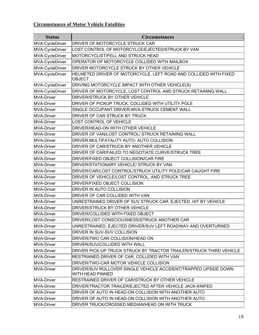## **Circumstances of Motor Vehicle Fatalities**

| <b>Status</b>     | <b>Circumstances</b>                                                                |
|-------------------|-------------------------------------------------------------------------------------|
| MVA-CycleDriver   | <b>DRIVER OF MOTORCYCLE STRUCK CAR</b>                                              |
| MVA-CycleDriver   | LOST CONTROL OF MOTORCYLCE/EJECTED/STRUCK BY VAN                                    |
| MVA-CycleDriver   | MOTORCYCLIST/FELL AND STRUCK HEAD                                                   |
| MVA-CycleDriver   | OPERATOR OF MOTORCYCLE COLLIDED WITH MAILBOX                                        |
| MVA-CycleDriver   | DRIVER MOTORCYCLE STRUCK BY OTHER VEHICLE                                           |
| MVA-CycleDriver   | HELMETED DRIVER OF MOTORCYCLE, LEFT ROAD AND COLLIDED WITH FIXED<br>OBJECT          |
| MVA-CycleDriver   | DRIVING MOTORCYCLE IMPACT WITH OTHER VEHICLE(S)                                     |
| MVA-CycleDriver   | DRIVER OF MOTORCYCLE, LOST CONTROL AND STRUCK RETAINING WALL                        |
| MVA-Driver        | DRIVER/STRUCK BY OTHER VEHICLE                                                      |
| MVA-Driver        | DRIVER OF PICKUP TRUCK, COLLIDED WITH UTILITY POLE                                  |
| MVA-Driver        | SINGLE OCCUPANT DRIVER-MVA-STRUCK CEMENT WALL                                       |
| MVA-Driver        | DRIVER OF CAR STRUCK BY TRUCK                                                       |
| MVA-Driver        | <b>LOST CONTROL OF VEHICLE</b>                                                      |
| MVA-Driver        | DRIVER/HEAD-ON WITH OTHER VEHICLE                                                   |
| <b>MVA-Driver</b> | DRIVER OF VAN/LOST CONTROL/ STRUCK RETAINING WALL                                   |
| <b>MVA-Driver</b> | DRIVER MULTIFATALITY AUTO- AUTO COLLISION                                           |
| MVA-Driver        | DRIVER OF CAR/STRUCK BY ANOTHER VEHICLE                                             |
| MVA-Driver        | DRIVER OF CAR/FAILED TO NEGOTIATE CURVE/STRUCK TREE                                 |
| <b>MVA-Driver</b> | DRIVER/FIXED OBJECT COLLISION/CAR FIRE                                              |
| MVA-Driver        | DRIVER/STATIONARY VEHICLE/ STRUCK BY VAN                                            |
| <b>MVA-Driver</b> | DRIVER/CAR/LOST CONTROL/STRUCK UTILITY POLE/CAR CAUGHT FIRE                         |
| MVA-Driver        | DRIVER OF VEHICLE/LOST CONTROL, AND STRUCK TREE                                     |
| MVA-Driver        | DRIVER/FIXED OBJECT COLLISION                                                       |
| MVA-Driver        | DRIVER IN AUTO COLLISION                                                            |
| <b>MVA-Driver</b> | DRIVER OF CAR COLLIDED WITH VAN                                                     |
| <b>MVA-Driver</b> | UNRESTRAINED DRIVER OF SUV STRUCK CAR, EJECTED, HIT BY VEHICLE                      |
| MVA-Driver        | DRIVER/STRUCK BY OTHER VEHICLE                                                      |
| MVA-Driver        | DRIVER/COLLIDED WITH FIXED OBJECT                                                   |
| MVA-Driver        | DRIVER/LOST CONSCIOUSNESS/STRUCK ANOTHER CAR                                        |
| MVA-Driver        | UNRESTRAINED, EJECTED DRIVER/SUV LEFT ROADWAY AND OVERTURNED                        |
| MVA-Driver        | DRIVER IN SUV-SUV COLLISION                                                         |
| MVA-Driver        | DRIVER/TWO CAR COLLISION/HEAD ON                                                    |
| MVA-Driver        | DRIVER/SUV/COLLIDED WITH WALL                                                       |
| <b>MVA-Driver</b> | DRIVER PICK-UP TRUCK STRUCK BY TRACTOR TRAILER/STRUCK THIRD VEHICLE                 |
| MVA-Driver        | RESTRIANED DRIVER OF CAR, COLLIDED WITH VAN                                         |
| MVA-Driver        | DRIVER/TWO-CAR MOTOR VEHICLE COLLISION                                              |
| <b>MVA-Driver</b> | DRIVER/SUV ROLLOVER SINGLE VEHICLE ACCIDENT/TRAPPED UPSIDE DOWN<br>WITH HEAD PINNED |
| MVA-Driver        | RESTRAINED DRIVER OF CAR/STRUCK BY OTHER VEHICLE                                    |
| <b>MVA-Driver</b> | DRIVER/TRACTOR TRAILER/EJECTED AFTER VEHICLE JACK-KNIFED                            |
| MVA-Driver        | DRIVER OF AUTO IN HEAD-ON COLLISION WITH ANOTHER AUTO                               |
| MVA-Driver        | DRIVER OF AUTO IN HEAD-ON COLLISION WITH ANOTHER AUTO                               |
| <b>MVA-Driver</b> | DRIVER TRUCK/CROSSED MEDIAN/HEAD ON WITH TRUCK                                      |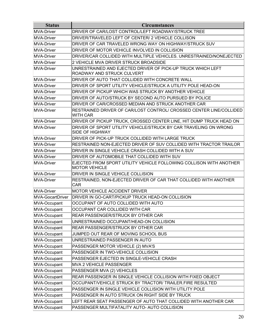| <b>Status</b>    | <b>Circumstances</b>                                                                       |
|------------------|--------------------------------------------------------------------------------------------|
| MVA-Driver       | DRIVER OF CAR/LOST CONTROL/LEFT ROADWAY/STRUCK TREE                                        |
| MVA-Driver       | DRIVER/TRAVELED LEFT OF CENTER/ 2 VEHICLE COLLISON                                         |
| MVA-Driver       | DRIVER OF CAR TRAVELED WRONG WAY ON HIGHWAY/STRUCK SUV                                     |
| MVA-Driver       | DRIVER OF MOTOR VEHICLE INVOLVED IN COLLISION                                              |
| MVA-Driver       | DRIVER/CAR COLLIDED WITH MULTIPLE VEHICLES. UNRESTRAINED/NONEJECTED                        |
| MVA-Driver       | 2 VEHICLE MVA DRIVER STRUCK BROADSIDE                                                      |
| MVA-Driver       | UNRESTRAINED AND EJECTED DRIVER OF PICK-UP TRUCK WHICH LEFT<br>ROADWAY AND STRUCK CULVERT  |
| MVA-Driver       | DRIVER OF AUTO THAT COLLIDED WITH CONCRETE WALL                                            |
| MVA-Driver       | DRIVER OF SPORT UTILITY VEHICLE/STRUCK A UTILITY POLE HEAD-ON                              |
| MVA-Driver       | DRIVER OF PICKUP WHICH WAS STRUCK BY ANOTHER VEHICLE                                       |
| MVA-Driver       | DRIVER OF AUTO/STRUCK BY SECOND AUTO PURSUED BY POLICE                                     |
| MVA-Driver       | DRIVER OF CAR/CROSSED MEDIAN AND STRUCK ANOTHER CAR                                        |
| MVA-Driver       | RESTRAINED DRIVER OF CAR/LOST CONTROL/ CROSSED CENTER LINE/COLLIDED<br><b>WITH CAR</b>     |
| MVA-Driver       | DRIVER OF PICKUP TRUCK, CROSSED CENTER LINE, HIT DUMP TRUCK HEAD ON                        |
| MVA-Driver       | DRIVER OF SPORT UTILITY VEHICLE/STRUCK BY CAR TRAVELING ON WRONG<br><b>SIDE OF HIGHWAY</b> |
| MVA-Driver       | DRIVER OF PICK-UP TRUCK COLLIDED WITH LARGE TRUCK                                          |
| MVA-Driver       | RESTRAINED NON-EJECTED DRIVER OF SUV COLLIDED WITH TRACTOR TRAILOR                         |
| MVA-Driver       | DRIVER IN SINGLE VEHICLE CRASH COLLIDED WITH A SUV                                         |
| MVA-Driver       | DRIVER OF AUTOMOBILE THAT COLLIDED WITH SUV                                                |
| MVA-Driver       | EJECTED FROM SPORT UTILITY VEHICLE FOLLOWING COLLISON WITH ANOTHER<br><b>MOTOR VEHICLE</b> |
| MVA-Driver       | DRIVER IN SINGLE VEHICLE COLLISION                                                         |
| MVA-Driver       | RESTRAINED, NON-EJECTED DRIVER OF CAR THAT COLLIDED WITH ANOTHER<br><b>CAR</b>             |
| MVA-Driver       | <b>MOTOR VEHICLE ACCIDENT DRIVER</b>                                                       |
| MVA-GocartDriver | DRIVER IN GO-CART/PICKUP TRUCK HEAD-ON COLLISION                                           |
| MVA-Occupant     | OCCUPANT OF AUTO COLLIDED WITH AUTO                                                        |
| MVA-Occupant     | OCCUPANT CAR COLLIDED WITH CAR                                                             |
| MVA-Occupant     | REAR PASSENGER/STRUCK BY OTHER CAR                                                         |
| MVA-Occupant     | UNRESTRAINED OCCUPANT/HEAD-ON COLLISION                                                    |
| MVA-Occupant     | REAR PASSENGER/STRUCK BY OTHER CAR                                                         |
| MVA-Occupant     | JUMPED OUT REAR OF MOVING SCHOOL BUS                                                       |
| MVA-Occupant     | UNRESTRAINED PASSENGER IN AUTO                                                             |
| MVA-Occupant     | PASSENGER MOTOR VEHICLE (2) MVA'S                                                          |
| MVA-Occupant     | PASSENGER IN TWO-VEHICLE COLLISION                                                         |
| MVA-Occupant     | PASSENGER EJECTED IN SINGLE-VEHICLE CRASH                                                  |
| MVA-Occupant     | <b>MVA 2 VEHICLE PASSENGER</b>                                                             |
| MVA-Occupant     | PASSENGER MVA (2) VEHICLES                                                                 |
| MVA-Occupant     | REAR PASSENGER IN SINGLE VEHICLE COLLISION WITH FIXED OBJECT                               |
| MVA-Occupant     | OCCUPANT/VEHICLE STRUCK BY TRACTOR/ TRAILER.FIRE RESULTED                                  |
| MVA-Occupant     | PASSENGER IN SINGLE VEHICLE COLLISION WITH UTILITY POLE                                    |
| MVA-Occupant     | PASSENGER IN AUTO STRUCK ON RIGHT SIDE BY TRUCK                                            |
| MVA-Occupant     | LEFT REAR SEAT PASSENGER OF AUTO THAT COLLIDED WITH ANOTHER CAR                            |
| MVA-Occupant     | PASSENGER MULTIFATALITY AUTO- AUTO COLLISION                                               |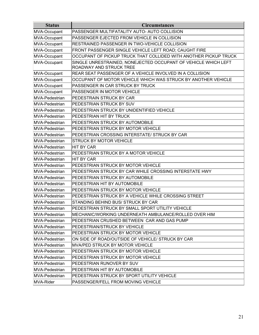| <b>Status</b>         | <b>Circumstances</b>                                                                      |
|-----------------------|-------------------------------------------------------------------------------------------|
| MVA-Occupant          | PASSENGER MULTIFATALITY AUTO- AUTO COLLISION                                              |
| MVA-Occupant          | PASSENGER EJECTED FROM VEHICLE IN COLLISION                                               |
| MVA-Occupant          | RESTRAINED PASSENGER IN TWO-VEHICLE COLLISION                                             |
| MVA-Occupant          | FRONT PASSENGER SINGLE VEHICLE LEFT ROAD; CAUGHT FIRE                                     |
| MVA-Occupant          | OCCUPANT OF PICKUP TRUCK THAT COLLIDED WITH ANOTHER PICKUP TRUCK                          |
| MVA-Occupant          | SINGLE UNRESTRAINED, NONEJECTED OCCUPANT OF VEHICLE WHICH LEFT<br>ROADWAY AND STRUCK TREE |
| MVA-Occupant          | REAR SEAT PASSENGER OF A VEHICLE INVOLVED IN A COLLISION                                  |
| MVA-Occupant          | OCCUPANT OF MOTOR VEHICLE WHICH WAS STRUCK BY ANOTHER VEHICLE                             |
| MVA-Occupant          | PASSENGER IN CAR STRUCK BY TRUCK                                                          |
| MVA-Occupant          | PASSENGER IN MOTOR VEHICLE                                                                |
| MVA-Pedestrian        | PEDESTRAIN STRUCK BY CAR                                                                  |
| MVA-Pedestrian        | PEDESTRIAN STRUCK BY SUV                                                                  |
| MVA-Pedestrian        | PEDESTRIAN STRUCK BY UNIDENTIFIED VEHICLE                                                 |
| <b>MVA-Pedestrian</b> | PEDESTRIAN HIT BY TRUCK                                                                   |
| lMVA-Pedestrian       | PEDESTRIAN STRUCK BY AUTOMOBILE                                                           |
| MVA-Pedestrian        | PEDESTRIAN STRUCK BY MOTOR VEHICLE                                                        |
| MVA-Pedestrian        | PEDESTRIAN CROSSING INTERSTATE/ STRUCK BY CAR                                             |
| lMVA-Pedestrian       | <b>STRUCK BY MOTOR VEHICLE</b>                                                            |
| MVA-Pedestrian        | <b>HIT BY CAR</b>                                                                         |
| MVA-Pedestrian        | PEDESTRIAN STRUCK BY A MOTOR VEHICLE                                                      |
| MVA-Pedestrian        | <b>HIT BY CAR</b>                                                                         |
| MVA-Pedestrian        | PEDESTRIAN STRUCK BY MOTOR VEHICLE                                                        |
| MVA-Pedestrian        | PEDESTRIAN STRUCK BY CAR WHILE CROSSING INTERSTATE HWY                                    |
| <b>MVA-Pedestrian</b> | PEDESTRIAN STRUCK BY AUTOMOBILE                                                           |
| MVA-Pedestrian        | PEDESTRIAN HIT BY AUTOMOBILE                                                              |
| MVA-Pedestrian        | PEDESTRIAN STRUCK BY MOTOR VEHICLE                                                        |
| MVA-Pedestrian        | PEDESTRIAN STRUCK BY A VEHICLE WHILE CROSSING STREET                                      |
| MVA-Pedestrian        | STANDING BEHIND BUS/ STRUCK BY CAR                                                        |
| MVA-Pedestrian        | PEDESTRIAN STRUCK BY SMALL SPORT UTILITY VEHICLE                                          |
| <b>MVA-Pedestrian</b> | MECHANIC/WORKING UNDERNEATH AMBULANCE/ROLLED OVER HIM                                     |
| MVA-Pedestrian        | PEDESTRIAN CRUSHED BETWEEN CAR AND GAS PUMP                                               |
| MVA-Pedestrian        | PEDESTRIAN/STRUCK BY VEHICLE                                                              |
| MVA-Pedestrian        | PEDESTRIAN STRUCK BY MOTOR VEHICLE                                                        |
| MVA-Pedestrian        | ON SIDE OF ROAD/OUTSIDE OF VEHICLE/ STRUCK BY CAR                                         |
| IMVA-Pedestrian       | MVA/PED STRUCK BY MOTOR VEHICLE                                                           |
| MVA-Pedestrian        | PEDESTRIAN STRUCK BY MOTOR VEHICLE                                                        |
| <b>MVA-Pedestrian</b> | PEDESTRIAN STRUCK BY MOTOR VEHICLE                                                        |
| MVA-Pedestrian        | PEDESTRIAN RUNOVER BY SUV                                                                 |
| MVA-Pedestrian        | PEDESTRIAN HIT BY AUTOMOBILE                                                              |
| MVA-Pedestrian        | PEDESTRIAN STRUCK BY SPORT UTILITY VEHICLE                                                |
| MVA-Rider             | PASSENGER/FELL FROM MOVING VEHICLE                                                        |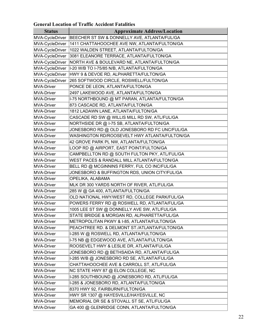## **General Location of Traffic Accident Fatalities**

|                   | Schef af Ebeauvil of Trafile Accident Falantic |
|-------------------|------------------------------------------------|
| <b>Status</b>     | <b>Approximate Address/Location</b>            |
| MVA-CycleDriver   | BEECHER ST SW & DONNELLY AVE, ATLANTA/FUL/GA   |
| MVA-CycleDriver   | 1411 CHATTAHOOCHEE AVE NW, ATLANTA/FULTON/GA   |
| MVA-CycleDriver   | 1022 WALDEN STREET, ATLANTA/FULTON/GA          |
| MVA-CycleDriver   | 3081 ELEANORE TERRACE, ATLANTA/FULTON/GA       |
| MVA-CycleDriver   | NORTH AVE & BOULEVARD NE, ATLANTA/FULTON/GA    |
| MVA-CycleDriver   | 1-20 W/B TO I-75/85 N/B, ATLANTA/FULTON/GA     |
| MVA-CycleDriver   | HWY 9 & DEVOE RD, ALPHARETTA/FULTON/GA         |
| MVA-CycleDriver   | 265 SOFTWOOD CIRCLE, ROSWELL/FULTON/GA         |
| MVA-Driver        | PONCE DE LEON, ATLANTA/FULTON/GA               |
| MVA-Driver        | 2497 LAKEWOOD AVE, ATLANTA/FULTON/GA           |
| MVA-Driver        | I-75 NORTHBOUND @ MT PARAN, ATLANTA/FULTON/GA  |
| MVA-Driver        | 873 CASCADE RD, ATLANTA/FULTON/GA              |
| MVA-Driver        | 1812 LADAWN LANE, ATLANTA/FULTON/GA            |
| MVA-Driver        | CASCADE RD SW @ WILLIS MILL RD SW, ATL/FUL/GA  |
| MVA-Driver        | NORTHSIDE DR @ I-75 SB, ATLANTA/FULTON/GA      |
| MVA-Driver        | JONESBORO RD @ OLD JONESBORO RD FC UNC/FUL/GA  |
| MVA-Driver        | WASHINGTON RD/ROOSEVELT HWY ATLANTA/FULTON/GA  |
| MVA-Driver        | 42 GROVE PARK PL NW, ATLANTA/FULTON/GA         |
| MVA-Driver        | LOOP RD @ AIRPORT, EAST POINT/FULTON/GA        |
| MVA-Driver        | CAMPBELLTON RD @ SOUTH FULTON PKY, ATL/FUL/GA  |
| MVA-Driver        | WEST PACES & RANDALL MILL ATLANTA/FULTON/GA    |
| MVA-Driver        | BELL RD @ MCGINNINS FERRY, FUL CO INC/FUL/GA   |
| MVA-Driver        | JONESBORO & BUFFINGTON RDS, UNION CITY/FUL/GA  |
| MVA-Driver        | OPELIKA, ALABAMA                               |
| MVA-Driver        | MLK DR 300 YARDS NORTH OF RIVER, ATL/FUL/GA    |
| MVA-Driver        | 285 W @ GA 400, ATLANTA/FULTON/GA              |
| MVA-Driver        | OLD NATIONAL HWY/WEST RD, COLLEGE PARK/FUL/GA  |
| MVA-Driver        | POWERS FERRY RD @ ROSWELL RD, ATLANTA/FUL/GA   |
| MVA-Driver        | 1005 LEE ST SW @ DONNELLY AVE SW, ATL/FUL/GA   |
| MVA-Driver        | STATE BRIDGE & MORGAN RD, ALPHARETTA/FUL/GA    |
| MVA-Driver        | METROPOLITAN PKWY & I-85, ATLANTA/FULTON/GA    |
| MVA-Driver        | PEACHTREE RD. & DELMONT ST./ATLANTA/FULTON/GA  |
| MVA-Driver        | I-285 W @ ROSWELL RD, ATLANTA/FULTON/GA        |
| MVA-Driver        | I-75 NB @ EDGEWOOD AVE, ATLANTA/FULTON/GA      |
| MVA-Driver        | ROOSEVELT HWY & LESLIE DR, ATLANTA/FUL/GA      |
| MVA-Driver        | JONESBORO RD @ BETHSAIDA RD, ATLANTA/FUL/GA    |
| MVA-Driver        | I-285 W/B @ JONESBORO RD SE, ATLANTA/FUL/GA    |
| MVA-Driver        | CHATTAHOOCHEE AVE & CARROLL ST, ATL/FUL/GA     |
| MVA-Driver        | NC STATE HWY 87 @ ELON COLLEGE, NC             |
| MVA-Driver        | I-285 SOUTHBOUND @ JONESBORO RD, ATL/FUL/GA    |
| MVA-Driver        | I-285 & JONESBORO RD, ATLANTA/FULTON/GA        |
| MVA-Driver        | 8370 HWY 92, FAIRBURN/FULTON/GA                |
| MVA-Driver        | HWY SR 1307 @ HAYESVILLE/HAYESVILLE, NC        |
| MVA-Driver        | MEMORIAL DR SE & STOVALL ST SE, ATL/FUL/GA     |
| <b>MVA-Driver</b> | GA 400 @ GLENRIDGE CONN, ATLANTA/FULTON/GA     |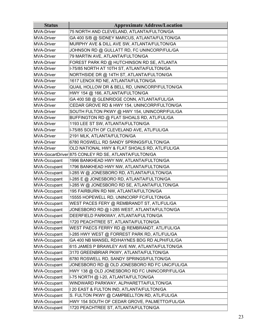| <b>Status</b> | <b>Approximate Address/Location</b>                  |
|---------------|------------------------------------------------------|
| MVA-Driver    | 75 NORTH AND CLEVELAND, ATLANTA/FULTON/GA            |
| MVA-Driver    | GA 400 S/B @ SIDNEY MARCUS, ATLANTA/FULTON/GA        |
| MVA-Driver    | MURPHY AVE & DILL AVE SW, ATLANTA/FULTON/GA          |
| MVA-Driver    | JOHNSON RD @ GULLATT RD, FC UNINCORP/FUL/GA          |
| MVA-Driver    | 79 MARTIN AVE, ATLANTA/FULTON/GA                     |
| MVA-Driver    | FOREST PARK RD @ HUTCHINSON RD SE, ATLANTA           |
| MVA-Driver    | I-75/85 NORTH AT 10TH ST, ATLANTA/FULTON/GA          |
| MVA-Driver    | NORTHSIDE DR @ 14TH ST, ATLANTA/FULTON/GA            |
| MVA-Driver    | 1617 LENOX RD NE, ATLANTA/FULTON/GA                  |
| MVA-Driver    | QUAIL HOLLOW DR & BELL RD, UNINCORP/FULTON/GA        |
| MVA-Driver    | HWY 154 @ 166, ATLANTA/FULTON/GA                     |
| MVA-Driver    | GA 400 SB @ GLENRIDGE CONN, ATLANTA/FUL/GA           |
| MVA-Driver    | CEDAR GROVE RD & HWY 154, UNINCORP/FULTON/GA         |
| MVA-Driver    | SOUTH FULTON PKWY @ HWY 154, UNINCORP/FUL/GA         |
| MVA-Driver    | BUFFINGTON RD @ FLAT SHOALS RD, ATL/FUL/GA           |
| MVA-Driver    | 1193 LEE ST SW, ATLANTA/FULTON/GA                    |
| MVA-Driver    | I-75/85 SOUTH OF CLEVELAND AVE, ATL/FUL/GA           |
| MVA-Driver    | 2191 MLK, ATLANTA/FULTON/GA                          |
| MVA-Driver    | 6780 ROSWELL RD SANDY SPRINGS/FULTON/GA              |
| MVA-Driver    | OLD NATIONAL HWY & FLAT SHOALS RD, ATL/FUL/GA        |
|               | MVA-GocartDriver 875 CONLEY RD SE, ATLANTA/FULTON/GA |
| MVA-Occupant  | 1996 BANKHEAD HWY NW, ATLANTA/FULTON/GA              |
| MVA-Occupant  | 1796 BANKHEAD HWY NW, ATLANTA/FULTON/GA              |
| MVA-Occupant  | I-285 W @ JONESBORO RD, ATLANTA/FULTON/GA            |
| MVA-Occupant  | I-285 E @ JONESBORO RD, ATLANTA/FULTON/GA            |
| MVA-Occupant  | I-285 W @ JONESBORO RD SE, ATLANTA/FULTON/GA         |
| MVA-Occupant  | 195 FAIRBURN RD NW, ATLANTA/FULTON/GA                |
| MVA-Occupant  | 15555 HOPEWELL RD, UNINCORP FC/FULTON/GA             |
| MVA-Occupant  | WEST PACES FERY @ REMBRANDT ST, ATL/FUL/GA           |
| MVA-Occupant  | JONESBORO RD @ I-285 WEST, ATLANTA/FULTON/GA         |
| MVA-Occupant  | DEERFIELD PARKWAY, ATLANTA/FULTON/GA                 |
| MVA-Occupant  | 1720 PEACHTREE ST, ATLANTA/FULTON/GA                 |
| MVA-Occupant  | WEST PAECS FERRY RD @ REMBRANDT, ATL/FUL/GA          |
| MVA-Occupant  | I-285 HWY WEST @ FORREST PARK RD, ATL/FUL/GA         |
| MVA-Occupant  | GA 400 NB MANSEL RD/HAYNES BDG RD ALPH/FUL/GA        |
| MVA-Occupant  | 615 JAMES P BRAWLEY AVE NW, ATLANTA/FULTON/GA        |
| MVA-Occupant  | 3170 GREENBRIAR PKWY, ATLANTA/FULTON/GA              |
| MVA-Occupant  | 6780 ROSWELL RD, SANDY SPRINGS/FULTON/GA             |
| MVA-Occupant  | JONESBORO RD @ OLD JONESBORO RD FC UNC/FUL/GA        |
| MVA-Occupant  | HWY 138 @ OLD JONESBORO RD FC UNINCORP/FUL/GA        |
| MVA-Occupant  | I-75 NORTH @ I-20, ATLANTA/FULTON/GA                 |
| MVA-Occupant  | WINDWARD PARKWAY, ALPHARETTA/FULTON/GA               |
| MVA-Occupant  | I 20 EAST & FULTON IND, ATLANTA/FULTON/GA            |
| MVA-Occupant  | S. FULTON PKWY @ CAMPBELLTON RD, ATL/FUL/GA          |
| MVA-Occupant  | HWY 154 SOUTH OF CEDAR GROVE, PALMETTO/FUL/GA        |
| MVA-Occupant  | 1720 PEACHTREE ST, ATLANTA/FULTON/GA                 |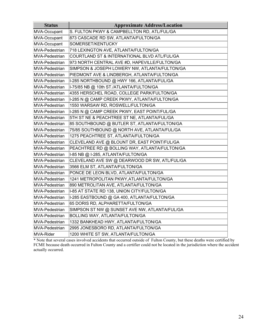| <b>Status</b>         | <b>Approximate Address/Location</b>           |  |  |  |  |  |  |  |
|-----------------------|-----------------------------------------------|--|--|--|--|--|--|--|
| MVA-Occupant          | S. FULTON PKWY & CAMPBELLTON RD, ATL/FUL/GA   |  |  |  |  |  |  |  |
| MVA-Occupant          | 873 CASCADE RD SW, ATLANTA/FULTON/GA          |  |  |  |  |  |  |  |
| MVA-Occupant          | SOMERSET/KENTUCKY                             |  |  |  |  |  |  |  |
| MVA-Pedestrian        | 718 LEXINGTON AVE, ATLANTA/FULTON/GA          |  |  |  |  |  |  |  |
| MVA-Pedestrian        | COURTLAND ST & INTERNATIONAL BLVD ATL/FUL/GA  |  |  |  |  |  |  |  |
| MVA-Pedestrian        | 973 NORTH CENTRAL AVE #D, HAPEVILLE/FULTON/GA |  |  |  |  |  |  |  |
| MVA-Pedestrian        | SIMPSON & JOSEPH LOWERY NW, ATLANTA/FULTON/GA |  |  |  |  |  |  |  |
| MVA-Pedestrian        | PIEDMONT AVE & LINDBERGH, ATLANTA/FULTON/GA   |  |  |  |  |  |  |  |
| MVA-Pedestrian        | I-285 NORTHBOUND @ HWY 166, ATLANTA/FUL/GA    |  |  |  |  |  |  |  |
| MVA-Pedestrian        | I-75/85 NB @ 10th ST./ATLANTA/FULTON/GA       |  |  |  |  |  |  |  |
| MVA-Pedestrian        | 4355 HERSCHEL ROAD, COLLEGE PARK/FULTON/GA    |  |  |  |  |  |  |  |
| lMVA-Pedestrian       | I-285 N @ CAMP CREEK PKWY, ATLANTA/FULTON/GA  |  |  |  |  |  |  |  |
| MVA-Pedestrian        | 1550 WARSAW RD, ROSWELL/FULTON/GA             |  |  |  |  |  |  |  |
| lMVA-Pedestrian       | I-285 N @ CAMP CREEK PKWY, EAST POINT/FUL/GA  |  |  |  |  |  |  |  |
| <b>MVA-Pedestrian</b> | 5TH ST NE & PEACHTREE ST NE, ATLANTA/FUL/GA   |  |  |  |  |  |  |  |
| MVA-Pedestrian        | 85 SOUTHBOUND @ BUTLER ST, ATLANTA/FULTON/GA  |  |  |  |  |  |  |  |
| MVA-Pedestrian        | 75/85 SOUTHBOUND @ NORTH AVE, ATLANTA/FUL/GA  |  |  |  |  |  |  |  |
| MVA-Pedestrian        | 1275 PEACHTREE ST, ATLANTA/FULTON/GA          |  |  |  |  |  |  |  |
| MVA-Pedestrian        | CLEVELAND AVE @ BLOUNT DR, EAST POINT/FUL/GA  |  |  |  |  |  |  |  |
| lMVA-Pedestrian       | PEACHTREE RD @ BOLLING WAY, ATLANTA/FULTON/GA |  |  |  |  |  |  |  |
| MVA-Pedestrian        | I-85 NB @ I-285, ATLANTA/FULTON/GA            |  |  |  |  |  |  |  |
| MVA-Pedestrian        | CLEVELAND AVE SW @ DEARWOOD DR SW, ATL/FUL/GA |  |  |  |  |  |  |  |
| MVA-Pedestrian        | 3566 ELM ST, ATLANTA/FULTON/GA                |  |  |  |  |  |  |  |
| MVA-Pedestrian        | PONCE DE LEON BLVD, ATLANTA/FULTON/GA         |  |  |  |  |  |  |  |
| MVA-Pedestrian        | 1241 METROPOLITAN PKWY, ATLANTA/FULTON/GA     |  |  |  |  |  |  |  |
| MVA-Pedestrian        | 890 METROLITAN AVE, ATLANTA/FULTON/GA         |  |  |  |  |  |  |  |
| MVA-Pedestrian        | I-85 AT STATE RD 138, UNION CITY/FULTON/GA    |  |  |  |  |  |  |  |
| MVA-Pedestrian        | I-285 EASTBOUND @ GA 400, ATLANTA/FULTON/GA   |  |  |  |  |  |  |  |
| lMVA-Pedestrian       | 65 DORIS RD, ALPHARETTA/FULTON/GA             |  |  |  |  |  |  |  |
| MVA-Pedestrian        | SIMPSON ST NW @ SUNSET AVE NW, ATLANTA/FUL/GA |  |  |  |  |  |  |  |
| MVA-Pedestrian        | BOLLING WAY, ATLANTA/FULTON/GA                |  |  |  |  |  |  |  |
| lMVA-Pedestrian       | 1332 BANKHEAD HWY, ATLANTA/FULTON/GA          |  |  |  |  |  |  |  |
| MVA-Pedestrian        | 2995 JONESBORO RD, ATLANTA/FULTON/GA          |  |  |  |  |  |  |  |
| MVA-Rider             | 1200 WHITE ST SW, ATLANTA/FULTON/GA           |  |  |  |  |  |  |  |

\* Note that several cases involved accidents that occurred outside of Fulton County, but these deaths were certified by FCME because death occurred in Fulton County and a certifier could not be located in the jurisdiction where the accident actually occurred.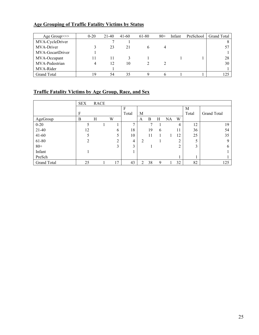## **Age Grouping of Traffic Fatality Victims by Status**

| Age Group >>>      | $0 - 20$ | 21-40 | $41 - 60$ | 61-80 | $80+$ | Infant | PreSchool | <b>Grand Total</b> |
|--------------------|----------|-------|-----------|-------|-------|--------|-----------|--------------------|
| MVA-CycleDriver    |          |       |           |       |       |        |           |                    |
| MVA-Driver         |          | 23    |           |       |       |        |           |                    |
| MVA-GocartDriver   |          |       |           |       |       |        |           |                    |
| MVA-Occupant       |          |       |           |       |       |        |           | 28                 |
| MVA-Pedestrian     |          | 12    | 10        |       |       |        |           | 30                 |
| MVA-Rider          |          |       |           |       |       |        |           |                    |
| <b>Grand Total</b> | 19       | 54    | 35        |       |       |        |           | 125                |

## **Traffic Fatality Victims by Age Group, Race, and Sex**

|             | <b>SEX</b>     | <b>RACE</b> |   |               |              |   |    |   |    |        |       |             |
|-------------|----------------|-------------|---|---------------|--------------|---|----|---|----|--------|-------|-------------|
|             |                |             |   |               | F            |   |    |   |    |        | M     |             |
|             | F              |             |   |               | Total        | M |    |   |    |        | Total | Grand Total |
| AgeGroup    | B              | Η           | W |               |              | A | B  | Н | NA | W      |       |             |
| $0 - 20$    |                |             |   |               | $\mathbf{r}$ |   | 7  |   |    | 4      | 12    | 19          |
| $21-40$     | 12             |             |   | 6             | 18           |   | 19 | 6 |    | 11     | 36    | 54          |
| $41 - 60$   |                |             |   | 5             | 10           |   | 11 |   |    | 12     | 25    | 35          |
| 61-80       | $\overline{2}$ |             |   | $\gamma$<br>∠ | 4            | 2 |    |   |    | ↑      |       | 9           |
| $80 +$      |                |             |   | 3             | 3            |   |    |   |    | ↑<br>∠ | 3     | 6           |
| Infant      |                |             |   |               |              |   |    |   |    |        |       |             |
| PreSch      |                |             |   |               |              |   |    |   |    |        |       |             |
| Grand Total | 25             |             |   | 17            | 43           | 2 | 38 | 9 |    | 32     | 82    | 125         |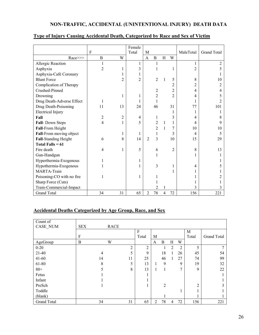## **NON-TRAFFIC, ACCIDENTAL (UNINTENTIONAL INJURY) DEATH DATA**

|                           |                |                | Female         |                |                |   |                |           |                    |
|---------------------------|----------------|----------------|----------------|----------------|----------------|---|----------------|-----------|--------------------|
|                           | $\mathbf{F}$   |                | Total          | M              |                |   |                | MaleTotal | <b>Grand Total</b> |
| Race>>>                   | B              | W              |                | $\mathbf{A}$   | $\overline{B}$ | H | W              |           |                    |
| Allergic Reaction         | 1              |                | 1              |                | 1              |   |                | 1         | 2                  |
| Asphyxia                  | $\overline{2}$ |                | 3              |                |                |   | 1              | 2         |                    |
| Asphyxia-Café Coronary    |                |                |                |                |                |   |                |           |                    |
| <b>Blunt Force</b>        |                | $\overline{2}$ | $\overline{2}$ |                | $\overline{2}$ |   | 5              | 8         | 10                 |
| Complication of Therapy   |                |                |                |                |                |   | 2              | 2         |                    |
| Crushed-Pinned            |                |                |                |                | 2              |   | 2              | 4         |                    |
| Drowning                  |                |                |                |                | $\overline{2}$ |   | $\overline{2}$ | 4         |                    |
| Drug Death-Adverse Effect |                |                |                |                |                |   |                |           |                    |
| Drug Death-Poisoning      | 11             | 13             | 24             |                | 46             |   | 31             | 77        | 101                |
| <b>Electrical Injury</b>  |                |                |                |                |                |   | 1              |           |                    |
| Fall                      | 2              | $\overline{2}$ | 4              |                | 1              |   | 3              | 4         | 8                  |
| Fall-Down Steps           | 4              |                | 5              |                | 2              | 1 | 1              | 4         | 9                  |
| Fall-From Height          |                |                |                |                | 2              |   | 7              | 10        | 10                 |
| Fall-From moving object   |                |                | 1              |                | 1              |   | 3              | 4         | 5                  |
| Fall-Standing Height      | 6              | 8              | 14             | $\mathfrak{D}$ | 3              |   | 10             | 15        | 29                 |
| Total Falls = $61$        |                |                |                |                |                |   |                |           |                    |
| Fire death                | 4              | 1              | 5              |                | 6              |   | $\overline{2}$ | 8         | 13                 |
| Gun-Handgun               |                |                |                |                |                |   |                |           |                    |
| Hyperthermia-Exogenous    |                |                |                |                |                |   |                |           |                    |
| Hypothermia-Exogenous     |                |                |                |                | 3              |   |                | 4         |                    |
| <b>MARTA-Train</b>        |                |                |                |                |                |   |                |           |                    |
| Poisoning-CO with no fire |                |                | 1              |                |                |   |                |           |                    |
| Sharp Force (Cuts)        |                |                |                |                |                |   |                |           |                    |
| Train-Commercial-Impact   |                |                |                |                | 2              |   |                | 3         |                    |
| <b>Grand Total</b>        | 34             | 31             | 65             | 2              | 78             | 4 | 72             | 156       | 221                |

## **Type of Injury Causing Accidental Death, Categorized by Race and Sex of Victim**

## **Accidental Deaths Categorized by Age Group, Race, and Sex**

| Count of           | <b>SEX</b> |                |      |                |       |              |                |                |              |                |                    |
|--------------------|------------|----------------|------|----------------|-------|--------------|----------------|----------------|--------------|----------------|--------------------|
| CASE_NUM           |            |                | RACE |                | F     |              |                |                |              | M              |                    |
|                    | F          |                |      |                | Total | М            |                |                |              | Total          | <b>Grand Total</b> |
| AgeGroup           | B          |                | W    |                |       | $\mathbf{A}$ | B              | H              | W            |                |                    |
| $0 - 20$           |            |                |      | $\overline{2}$ | 2     |              |                | $\overline{2}$ | 2            | 5              |                    |
| $21-40$            |            | $\overline{4}$ |      | 5              | 9     |              | 18             |                | 26           | 45             | 54                 |
| $41 - 60$          |            | 14             |      | 11             | 25    |              | 46             |                | 27           | 74             | 99                 |
| 61-80              |            | 8              |      | 5              | 13    | л.           | 9              |                | 9            | 19             | 32                 |
| $80 +$             |            |                |      | 8              | 13    |              |                |                | $\mathbf{r}$ | 9              | 22                 |
| Fetus              |            |                |      |                |       |              |                |                |              |                |                    |
| Infant             |            |                |      |                |       |              |                |                |              |                |                    |
| PreSch             |            |                |      |                |       |              | $\overline{2}$ |                |              | $\overline{2}$ |                    |
| Toddle             |            |                |      |                |       |              |                |                |              |                |                    |
| (blank)            |            |                |      |                |       |              |                |                |              |                |                    |
| <b>Grand Total</b> |            | 34             |      | 31             | 65    | 2            | 78             | 4              | 72           | 156            | 221                |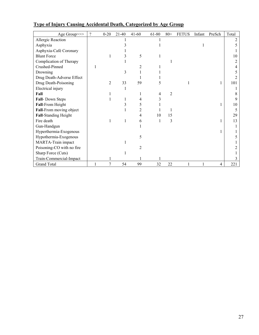| Age Group>>>              | $\overline{\mathcal{L}}$ | $0 - 20$ | $21 - 40$ | $41 - 60$      | 61-80 | $80+$ | <b>FETUS</b> | Infant | PreSch | Total |
|---------------------------|--------------------------|----------|-----------|----------------|-------|-------|--------------|--------|--------|-------|
| Allergic Reaction         |                          |          |           |                |       |       |              |        |        |       |
| Asphyxia                  |                          |          |           |                |       |       |              |        |        |       |
| Asphyxia-Café Coronary    |                          |          |           |                |       |       |              |        |        |       |
| <b>Blunt Force</b>        |                          |          |           | 5              |       |       |              |        |        | 10    |
| Complication of Therapy   |                          |          |           |                |       |       |              |        |        |       |
| Crushed-Pinned            |                          |          |           |                |       |       |              |        |        |       |
| Drowning                  |                          |          | 3         |                |       |       |              |        |        |       |
| Drug Death-Adverse Effect |                          |          |           |                |       |       |              |        |        |       |
| Drug Death-Poisoning      |                          | 2        | 33        | 59             |       |       |              |        |        | 101   |
| Electrical injury         |                          |          |           |                |       |       |              |        |        |       |
| Fall                      |                          |          |           |                |       | 2     |              |        |        |       |
| Fall-Down Steps           |                          |          |           |                |       |       |              |        |        |       |
| Fall-From Height          |                          |          |           |                |       |       |              |        |        | 10    |
| Fall-From moving object   |                          |          |           |                |       |       |              |        |        |       |
| Fall-Standing Height      |                          |          |           |                | 10    | 15    |              |        |        | 29    |
| Fire death                |                          |          | 1         | 6              | 1     | 3     |              |        |        | 13    |
| Gun-Handgun               |                          |          |           |                |       |       |              |        |        |       |
| Hyperthermia-Exogenous    |                          |          |           |                |       |       |              |        |        |       |
| Hypothermia-Exogenous     |                          |          |           | 5              |       |       |              |        |        |       |
| MARTA-Train impact        |                          |          |           |                |       |       |              |        |        |       |
| Poisoning-CO with no fire |                          |          |           | $\mathfrak{D}$ |       |       |              |        |        |       |
| Sharp Force (Cuts)        |                          |          |           |                |       |       |              |        |        |       |
| Train-Commercial-Impact   |                          |          |           |                |       |       |              |        |        |       |
| <b>Grand Total</b>        |                          | 7        | 54        | 99             | 32    | 22    |              |        | 4      | 221   |

## **Type of Injury Causing Accidental Death, Categorized by Age Group**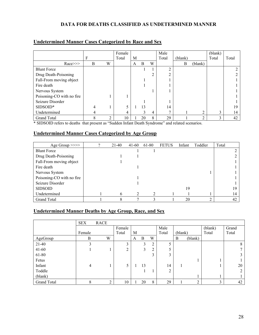## **DATA FOR DEATHS CLASSIFIED AS UNDETERMINED MANNER**

|                           |   |   | Female |   |    |   | Male  |         |         | (blank) |       |
|---------------------------|---|---|--------|---|----|---|-------|---------|---------|---------|-------|
|                           | F |   | Total  | M |    |   | Total | (blank) |         | Total   | Total |
| $Race \ge \ge$            | B | W |        | A | B  | W |       | B       | (blank) |         |       |
| <b>Blunt Force</b>        |   |   |        |   |    |   | ◠     |         |         |         |       |
| Drug Death-Poisoning      |   |   |        |   |    |   | ◠     |         |         |         |       |
| Fall-From moving object   |   |   |        |   |    |   |       |         |         |         |       |
| Fire death                |   |   |        |   |    |   |       |         |         |         |       |
| Nervous System            |   |   |        |   |    |   |       |         |         |         |       |
| Poisoning-CO with no fire |   |   |        |   |    |   |       |         |         |         |       |
| Seizure Disorder          |   |   |        |   |    |   |       |         |         |         |       |
| SIDSOID*                  |   |   | 5      |   | 13 |   | 14    |         |         |         | 19    |
| Undetermined              | 4 |   | 4      |   | 3  | 4 | Η     |         | ↑       | 3       | 14    |
| Grand Total               | 8 | C | 10     |   | 20 | 8 | 29    |         | ◠       | 3       | 42    |

#### **Undetermined Manner Cases Categorized by Race and Sex**

\* SIDSOID refers to deaths that present as "Sudden Infant Death Syndrome" and related scenarios.

#### **Undetermined Manner Cases Categorized by Age Group**

| Age Group >>>>            | 21-40 | $41-60$ | 61-80 | <b>FETUS</b> | Infant | Toddler | Total |
|---------------------------|-------|---------|-------|--------------|--------|---------|-------|
| <b>Blunt Force</b>        |       |         |       |              |        |         |       |
| Drug Death-Poisoning      |       |         |       |              |        |         |       |
| Fall-From moving object   |       |         |       |              |        |         |       |
| Fire death                |       |         |       |              |        |         |       |
| Nervous System            |       |         |       |              |        |         |       |
| Poisoning-CO with no fire |       |         |       |              |        |         |       |
| Seizure Disorder          |       |         |       |              |        |         |       |
| <b>SIDSOID</b>            |       |         |       |              | 19     |         | 19    |
| Undetermined              | 6     |         |       |              |        |         | 14    |
| Grand Total               |       |         | 3     |              | 20     | ↑       | 42    |

#### **Undetermined Manner Deaths by Age Group, Race, and Sex**

|                    | <b>SEX</b> | <b>RACE</b> |        |   |    |                |                |         |                |         |       |
|--------------------|------------|-------------|--------|---|----|----------------|----------------|---------|----------------|---------|-------|
|                    |            |             | Female |   |    |                | Male           |         |                | (blank) | Grand |
|                    | Female     |             | Total  | M |    |                | Total          | (blank) |                | Total   | Total |
| AgeGroup           | B          | W           |        | A | B  | W              |                | B       | (blank)        |         |       |
| $21-40$            |            |             | 3      |   | 3  | $\overline{2}$ | 5              |         |                |         | 8     |
| $41 - 60$          |            |             | ↑      |   |    | 2              | 5              |         |                |         |       |
| 61-80              |            |             |        |   |    | 3              | 3              |         |                |         |       |
| Fetus              |            |             |        |   |    |                |                |         |                |         |       |
| Infant             | 4          |             | 5      |   | 13 |                | 14             |         |                |         | 20    |
| Toddle             |            |             |        |   |    |                | $\overline{2}$ |         |                |         |       |
| (blank)            |            |             |        |   |    |                |                |         |                |         |       |
| <b>Grand Total</b> | 8          | ◠           | 10     |   | 20 | 8              | 29             |         | $\overline{2}$ | 3       | 42    |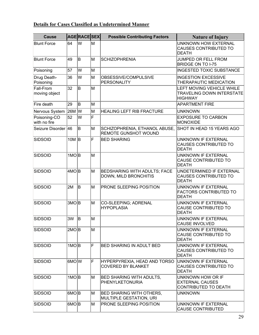## **Details for Cases Classified as Undetermined Manner**

| <b>Cause</b>                 |                    | AGERACESEX |   | <b>Possible Contributing Factors</b>                         | <b>Nature of Injury</b>                                                         |
|------------------------------|--------------------|------------|---|--------------------------------------------------------------|---------------------------------------------------------------------------------|
| <b>Blunt Force</b>           | 64                 | lw         | M |                                                              | <b>UNKNOWN HOW EXTERNAL</b><br>CAUSES CONTRIBUTED TO<br><b>DEATH</b>            |
| <b>Blunt Force</b>           | 49                 | ΙB         | M | <b>SCHIZOPHRENIA</b>                                         | JUMPED OR FELL FROM<br><b>BRIDGE ON TO I-75</b>                                 |
| Poisoning                    | 57                 | lw         | M |                                                              | <b>INGESTED TOXIC SUBSTANCE</b>                                                 |
| Drug Death-<br>Poisoning     | 36                 | lw         | M | OBSESSIVE/COMPULSIVE<br>PERSONALITY                          | <b>INGESTION EXCESSIVE</b><br>THERAPAUTIC MEDICATION                            |
| Fall-From<br>moving object   | 32                 | ΙB         | M |                                                              | LEFT MOVING VEHICLE WHILE<br><b>TRAVELING DOWN INTERSTATE</b><br><b>HIGHWAY</b> |
| Fire death                   | 29                 | lB.        | M |                                                              | <b>APARTMENT FIRE</b>                                                           |
| Nervous System 26M W         |                    |            | M | <b>HEALING LEFT RIB FRACTURE</b>                             | <b>UNKNOWN</b>                                                                  |
| Poisoning-CO<br>with no fire | 52                 | lw         | F |                                                              | <b>EXPOSURE TO CARBON</b><br><b>MONOXIDE</b>                                    |
| Seizure Disorder 46          |                    | lB.        | M | SCHIZOPHRENIA, ETHANOL ABUSE,<br><b>REMOTE GUNSHOT WOUND</b> | SHOT IN HEAD 15 YEARS AGO                                                       |
| <b>SIDSOID</b>               | 10M $ B $          |            | F | <b>BED SHARING</b>                                           | <b>UNKNOWN IF EXTERNAL</b><br><b>CAUSES CONTRIBUTED TO</b><br><b>DEATH</b>      |
| <b>SIDSOID</b>               | 1MO <sub>B</sub>   |            | M |                                                              | <b>UNKNOWN IF EXTERNAL</b><br>CAUSE CONTRIBUTED TO<br><b>DEATH</b>              |
| <b>SIDSOID</b>               | 4MO  B             |            | M | <b>BEDSHARING WITH ADULTS; FACE</b><br>DOWN, MILD BRONCHITIS | UNDETERMINED IF EXTERNAL<br><b>CAUSES CONTRIBUTED TO</b><br><b>DEATH</b>        |
| <b>SIDSOID</b>               | 2M                 | lB.        | M | <b>PRONE SLEEPING POSITION</b>                               | <b>UNKNOWN IF EXTERNAL</b><br><b>FACTORS CONTRIBUTED TO</b><br><b>DEATH</b>     |
| <b>SIDSOID</b>               | $3MO$ <sub>B</sub> |            | M | <b>CO-SLEEPING; ADRENAL</b><br><b>HYPOPLASIA</b>             | <b>UNKNOWN IF EXTERNAL</b><br><b>CAUSE CONTRIBUTED TO</b><br><b>DEATH</b>       |
| <b>SIDSOID</b>               | 3W                 | <b>B</b>   | M |                                                              | <b>UNKNOWN IF EXTERNAL</b><br>CAUSE INVOLVED                                    |
| <b>SIDSOID</b>               | $2MO$ <sub>B</sub> |            | М |                                                              | UNKNOWN IF EXTERNAL<br><b>CAUSE CONTRIBUTED TO</b><br><b>DEATH</b>              |
| <b>SIDSOID</b>               | $1MO$ <sub>B</sub> |            | F | <b>BED SHARING IN ADULT BED</b>                              | UNKNOWN IF EXTERNAL<br>CAUSES CONTRIBUTED TO<br><b>DEATH</b>                    |
| <b>SIDSOID</b>               | 6MO W              |            | F | HYPERPYREXIA, HEAD AND TORSO<br><b>COVERED BY BLANKET</b>    | UNKNOWN IF EXTERNAL<br>CAUSES CONTRIBUTED TO<br><b>DEATH</b>                    |
| <b>SIDSOID</b>               | 1MO B              |            | М | <b>BED SHARING WITH ADULTS,</b><br>PHENYLKETONURIA           | UNKNOWN HOW OR IF<br><b>EXTERNAL CAUSES</b><br>CONTRIBUTED TO DEATH             |
| <b>SIDSOID</b>               | 6MO B              |            | М | <b>BED SHARING WITH OTHERS,</b><br>MULTIPLE GESTATION, URI   | <b>UNKNOWN</b>                                                                  |
| <b>SIDSOID</b>               | 6MO∣B              |            | М | <b>PRONE SLEEPING POSITION</b>                               | UNKNOWN IF EXTERNAL<br><b>CAUSE CONTRIBUTED</b>                                 |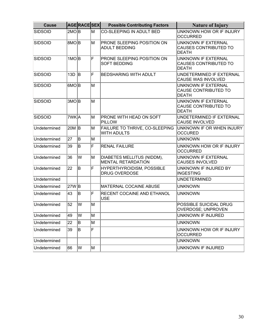| <b>Cause</b>   |                    | <b>AGERACESEX</b> |   | <b>Possible Contributing Factors</b>                        | <b>Nature of Injury</b>                                                    |  |  |
|----------------|--------------------|-------------------|---|-------------------------------------------------------------|----------------------------------------------------------------------------|--|--|
| <b>SIDSOID</b> | $2MO$ <sub>B</sub> |                   | M | CO-SLEEPING IN ADULT BED                                    | UNKNOWN HOW OR IF INJURY<br><b>OCCURRED</b>                                |  |  |
| <b>SIDSOID</b> | 8MO <sub>B</sub>   |                   | M | <b>PRONE SLEEPING POSITION ON</b><br><b>ADULT BEDDING</b>   | UNKNOWN IF EXTERNAL<br><b>CAUSES CONTRIBUTED TO</b><br><b>DEATH</b>        |  |  |
| <b>SIDSOID</b> | $1MO$ <sub>B</sub> |                   | F | PRONE SLEEPING POSITION ON<br><b>SOFT BEDDING</b>           | <b>UNKNOWN IF EXTERNAL</b><br><b>CAUSES CONTRIBUTED TO</b><br><b>DEATH</b> |  |  |
| <b>SIDSOID</b> | 13D $ B $          |                   | F | <b>BEDSHARING WITH ADULT</b>                                | UNDETERMINED IF EXTERNAL<br>CAUSE WAS INVOLVED                             |  |  |
| <b>SIDSOID</b> | $6MO$ <sub>B</sub> |                   | M |                                                             | <b>UNKNOWN IF EXTERNAL</b><br><b>CAUSE CONTRIBUTED TO</b><br><b>DEATH</b>  |  |  |
| <b>SIDSOID</b> | 3MO <sub>B</sub>   |                   | M |                                                             | UNKNOWN IF EXTERNAL<br><b>CAUSE CONTRIBUTED TO</b><br><b>DEATH</b>         |  |  |
| <b>SIDSOID</b> | 7WK A              |                   | M | <b>PRONE WITH HEAD ON SOFT</b><br>PILLOW                    | UNDETERMINED IF EXTERNAL<br><b>CAUSE INVOLVED</b>                          |  |  |
| Undetermined   | 20M B              |                   | M | <b>FAILURE TO THRIVE, CO-SLEEPING</b><br><b>WITH ADULTS</b> | UNKNOWN IF OR WHEN INJURY<br><b>OCCURED</b>                                |  |  |
| Undetermined   | 27                 | lB.               | M |                                                             | <b>UNKNOWN</b>                                                             |  |  |
| Undetermined   | 39                 | lB.               | F | <b>RENAL FAILURE</b>                                        | UNKNOWN HOW OR IF INJURY<br><b>OCCURRED</b>                                |  |  |
| Undetermined   | 36                 | W                 | M | DIABETES MELLITUS (NIDDM),<br><b>MENTAL RETARDATION</b>     | UNKNOWN IF EXTERNAL<br><b>CAUSES INVOLVED</b>                              |  |  |
| Undetermined   | 22                 | lB.               | F | <b>HYPERTHYROIDISM, POSSIBLE</b><br><b>DRUG OVERDOSE</b>    | UNKNOWN IF INJURED BY<br><b>INGESTING</b>                                  |  |  |
| Undetermined   |                    |                   |   |                                                             | <b>UNDETERMINED</b>                                                        |  |  |
| Undetermined   | 27W B              |                   |   | <b>MATERNAL COCAINE ABUSE</b>                               | <b>UNKNOWN</b>                                                             |  |  |
| Undetermined   | 43                 | lB.               | F | RECENT COCAINE AND ETHANOL<br><b>USE</b>                    | <b>UNKNOWN</b>                                                             |  |  |
| Undetermined   | 52                 | lw                | M |                                                             | POSSIBLE SUICIDAL DRUG<br><b>OVERDOSE; UNPROVEN</b>                        |  |  |
| Undetermined   | 49                 | W                 | M |                                                             | UNKNOWN IF INJURED                                                         |  |  |
| Undetermined   | 22                 | ΙB.               | M |                                                             | <b>UNKNOWN</b>                                                             |  |  |
| Undetermined   | 39                 | ΙB                | F |                                                             | UNKNOWN HOW OR IF INJURY<br><b>OCCURRED</b>                                |  |  |
| Undetermined   |                    |                   |   |                                                             | <b>UNKNOWN</b>                                                             |  |  |
| Undetermined   | 66                 | W                 | M |                                                             | UNKNOWN IF INJURED                                                         |  |  |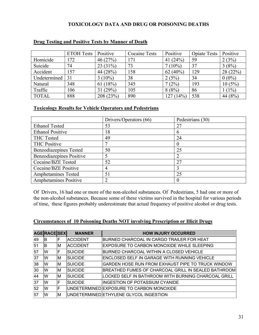#### **TOXICOLOGY DATA AND DRUG OR POISONING DEATHS**

|              | <b>ETOH Tests</b> | Positive   | <b>Cocaine Tests</b> | Positive    | <b>Opiate Tests</b> | Positive |
|--------------|-------------------|------------|----------------------|-------------|---------------------|----------|
| Homicide     | 172               | 46(27%)    | 171                  | 41 $(24%)$  | 59                  | 2(3%)    |
| Suicide      | 74                | 23(31%)    | 73                   | $7(10\%)$   | 37                  | 3(8%)    |
| Accident     | 157               | 44 (28%)   | 158                  | 62 $(40\%)$ | 129                 | 28(22%)  |
| Undetermined | 31                | $3(10\%)$  | 38                   | 2(5%)       | 34                  | $0(0\%)$ |
| Natural      | 348               | 61(18%)    | 345                  | 7(2%)       | 193                 | 10(5%)   |
| Traffic      | 106               | 31 $(29%)$ | 105                  | $8(8\%)$    | 86                  | $(1\%)$  |
| <b>TOTAL</b> | 888               | 208 (23%)  | 890                  | 127(14%)    | 538                 | 44 (8%)  |

#### **Drug Testing and Positive Tests by Manner of Death**

#### **Toxicology Results for Vehicle Operators and Pedestrians**

|                              | Drivers/Operators (66) | Pedestrians (30) |
|------------------------------|------------------------|------------------|
| <b>Ethanol Tested</b>        | 53                     | 27               |
| <b>Ethanol Positive</b>      | 18                     |                  |
| <b>THC Tested</b>            | 49                     | 24               |
| <b>THC Positive</b>          |                        |                  |
| Benzodiazepines Tested       | 50                     | 25               |
| Benzodiazepines Positive     |                        |                  |
| Cocaine/BZE Tested           | 52                     | 27               |
| Cocaine/BZE Positive         | 4                      |                  |
| Amphetamines Tested          | 51                     | 25               |
| <b>Amphetamines Positive</b> | າ                      |                  |

Of Drivers, 16 had one or more of the non-alcohol substances. Of Pedestrians, 5 had one or more of the non-alcohol substances. Because some of these victims survived in the hospital for various periods of time, these figures probably underestimate that actual frequency of positive alcohol or drug tests.

#### **Circumstances of 10 Poisoning Deaths NOT involving Prescription or Illicit Drugs**

|    | <b>AGE RACE SEX</b> |    | <b>MANNER</b>   | <b>HOW INJURY OCCURRED</b>                          |
|----|---------------------|----|-----------------|-----------------------------------------------------|
| 49 | lB.                 | F  | <b>ACCIDENT</b> | BURNED CHARCOAL IN CARGO TRAILER FOR HEAT           |
| 51 | ΙB                  | ΙM | ACCIDENT        | EXPOSURE TO CARBON MONOXIDE WHILE SLEEPING          |
| 57 | lW                  | ιF | <b>SUICIDE</b>  | BURNED CHARCOAL WITHIN A CLOSED VEHICLE             |
| 37 | lW                  | ΙM | <b>SUICIDE</b>  | ENCLOSED SELF IN GARAGE WITH RUNNING VEHICLE        |
| 38 | lW                  | ΙM | <b>SUICIDE</b>  | GARDEN HOSE RUN FROM EXHAUST PIPE TO TRUCK WINDOW   |
| 30 | lW                  | ΙM | <b>SUICIDE</b>  | BREATHED FUMES OF CHARCOAL GRILL IN SEALED BATHROOM |
| 44 | lW                  | ΙM | <b>SUICIDE</b>  | LOCKED SELF IN BATHROOM WITH BURNING CHARCOAL GRILL |
| 37 | lW                  | ΙF | <b>SUICIDE</b>  | <b>INGESTION OF POTASSIUM CYANIDE</b>               |
| 52 | lW                  | F  |                 | UNDETERMINED EXPOSURE TO CARBON MONOXIDE            |
| 57 | lW                  | ΙM |                 | UNDETERMINED ETHYLENE GLYCOL INGESTION              |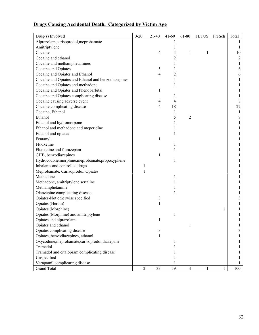## **Drugs Causing Accidental Death, Categorized by Victim Age**

| Drug(s) Involved                                    | $0 - 20$   | $21-40$ | 41-60 | 61-80 | <b>FETUS</b> | PreSch | Total |
|-----------------------------------------------------|------------|---------|-------|-------|--------------|--------|-------|
| Alprazolam, carisoprodol, meprobamate               |            |         |       |       |              |        |       |
| Amitriptylene                                       |            |         |       |       |              |        |       |
| Cocaine                                             |            | 4       | 4     | 1     |              |        | 10    |
| Cocaine and ethanol                                 |            |         | 2     |       |              |        | 2     |
| Cocaine and methamphetamines                        |            |         |       |       |              |        |       |
| Cocaine and Opiates                                 |            | 5       |       |       |              |        | 6     |
| Cocaine and Opiates and Ethanol                     |            | 4       |       |       |              |        | 6     |
| Cocaine and Opiates and Ethanol and benzodiazepines |            |         |       |       |              |        |       |
| Cocaine and Opiates and methadone                   |            |         |       |       |              |        |       |
| Cocaine and Opiates and Phenobarbital               |            | 1       |       |       |              |        |       |
| Cocaine and Opiates complicating disease            |            |         |       |       |              |        |       |
| Cocaine causing adverse event                       |            | 4       | 4     |       |              |        | 8     |
| Cocaine complicating disease                        |            | 4       | 18    |       |              |        | 22    |
| Cocaine, Ethanol                                    |            |         | 1     |       |              |        | 1     |
| Ethanol                                             |            |         | 5     | 2     |              |        | 7     |
| Ethanol and hydromorpone                            |            |         |       |       |              |        |       |
| Ethanol and methadone and meperidine                |            |         |       |       |              |        |       |
| Ethanol and opiates                                 |            |         |       |       |              |        |       |
| Fentanyl                                            |            | 1       |       |       |              |        |       |
| Fluoxetine                                          |            |         |       |       |              |        |       |
| Fluoxetine and flurazepam                           |            |         |       |       |              |        |       |
| GHB, benzodiazepines                                |            | 1       |       |       |              |        |       |
| Hydrocodone, morphine, meprobamate, propoxyphene    |            |         |       |       |              |        |       |
| Inhalants and controlled drugs                      | 1          |         |       |       |              |        |       |
| Meprobamate, Carisoprodol, Opiates                  | 1          |         |       |       |              |        |       |
| Methadone                                           |            |         |       |       |              |        |       |
| Methadone, amitriptylene, sertaline                 |            |         |       |       |              |        |       |
| Methamphetamine                                     |            |         |       |       |              |        |       |
| Olanzepine complicating disease                     |            |         |       |       |              |        |       |
| Opiates-Not otherwise specified                     |            | 3       |       |       |              |        |       |
| Opiates (Heroin)                                    |            | 1       |       |       |              |        |       |
| Opiates (Morphine)                                  |            |         |       |       |              | 1      |       |
| Opiates (Morphine) and amitriptylene                |            |         |       |       |              |        |       |
| Opiates and alprazolam                              |            | 1       |       |       |              |        |       |
| Opiates and ethanol                                 |            |         |       |       |              |        |       |
| Opiates complicating disease                        |            | 3       |       |       |              |        | 3     |
| Opiates, benzodiazepines, ethanol                   |            | 1       |       |       |              |        |       |
| Oxycodone, meprobamate, carisoprodol, diazepam      |            |         |       |       |              |        |       |
| Tramadol                                            |            |         |       |       |              |        |       |
| Tramadol and citalopram complicating disease        |            |         |       |       |              |        |       |
| Unspecified                                         |            |         |       |       |              |        |       |
| Verapamil complicating disease                      |            |         |       |       |              |        |       |
| <b>Grand Total</b>                                  | $\sqrt{2}$ | 33      | 59    | 4     | 1            | 1      | 100   |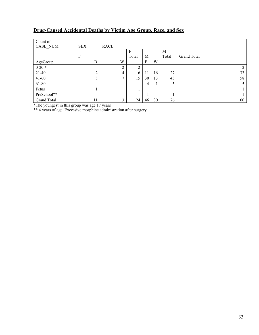#### **Drug-Caused Accidental Deaths by Victim Age Group, Race, and Sex**

| Count of    |            |             |       |    |    |       |             |
|-------------|------------|-------------|-------|----|----|-------|-------------|
| CASE_NUM    | <b>SEX</b> | <b>RACE</b> |       |    |    |       |             |
|             |            |             | F     |    |    | M     |             |
|             | F          |             | Total | M  |    | Total | Grand Total |
| AgeGroup    | B          | W           |       | B  | W  |       |             |
| $0-20*$     |            | ◠           | C     |    |    |       | 2           |
| $21-40$     | ∍          | 4           | 6     | 11 | 16 | 27    | 33          |
| $41 - 60$   | 8          | ⇁           | 15    | 30 | 13 | 43    | 58          |
| 61-80       |            |             |       | 4  |    |       |             |
| Fetus       |            |             |       |    |    |       |             |
| PreSchool** |            |             |       |    |    |       |             |
| Grand Total | 11         | 13          | 24    | 46 | 30 | 76    | 100         |

\*The youngest in this group was age 17 years

\*\* 4 years of age. Excessive morphine administration after surgery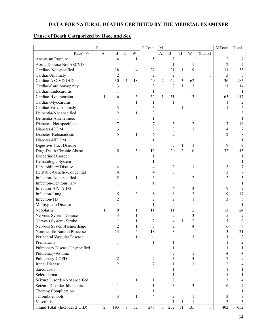## **DATA FOR NATURAL DEATHS CERTIFIED BY THE MEDICAL EXAMINER**

## **Cause of Death Categorized by Race and Sex**

|                                | $\rm F$        |                |              |              | F Total        | M              |                         |                |                |              | MTotal         | Total                    |
|--------------------------------|----------------|----------------|--------------|--------------|----------------|----------------|-------------------------|----------------|----------------|--------------|----------------|--------------------------|
| Race>>>                        | $\mathbf{A}$   | $\, {\bf B}$   | H            | W            |                | AI             | $\mathbf B$             | H              | W              | (blank)      |                |                          |
| Aneurysm Rupture               |                | $\overline{4}$ |              | $\mathbf{1}$ | 5              |                | $\overline{2}$          |                |                |              | $\overline{2}$ | 7                        |
| Aortic Disease-NonASCVD        |                |                |              |              |                |                | 1                       |                | 1              |              | $\overline{2}$ | $\overline{2}$           |
| Cardiac-Not specified          |                | 18             |              | 4            | 22             |                | 21                      | $\mathbf{1}$   | 9              |              | 31             | 53                       |
| Cardiac-Anomaly                |                | $\overline{2}$ |              |              | $\overline{2}$ |                | $\overline{2}$          |                |                | 1            | 3              | 5                        |
| Cardiac-ASCVD-IHD              |                | 30             | $\mathbf{1}$ | 18           | 49             | $\overline{2}$ | 69                      | 3              | 62             |              | 136            | 185                      |
| Cardiac-Cardiomyopathy         |                | 3              |              |              | 3              |                | 7                       | $\mathbf{1}$   | 3              |              | 11             | 14                       |
| Cardiac-Endocarditis           |                | 1              |              |              | 1              |                |                         |                |                |              |                | 1                        |
| Cardiac-Hypertension           | 1              | 46             |              | 5            | 52             | $\mathbf{1}$   | 51                      |                | 13             |              | 65             | 117                      |
| Cardiac-Myocarditis            |                |                |              | 1            | 1              |                | 1                       |                |                |              | 1              | $\overline{2}$           |
| Cardiac-ValveAnomaly           |                | 3              |              |              | 3              |                |                         | 1              |                |              | 1              | $\overline{\mathcal{A}}$ |
| Dementia-Not specified         |                | $\overline{2}$ |              | 1            | 3              |                |                         |                |                |              |                | 3                        |
| Dementia-Alzeheimers           |                | 1              |              |              | 1              |                |                         |                |                |              |                |                          |
| Diabetes- Not specified        |                | 7              |              |              | $\overline{7}$ |                | 5                       |                | $\overline{c}$ |              | 7              | 14                       |
| Diabetes-IDDM                  |                | 3              |              |              | 3              |                | 3                       |                | $\mathbf{1}$   |              | 4              | $\boldsymbol{7}$         |
| Diabetes-Ketoacidosis          |                | 5              |              | 1            | 6              |                | $\overline{c}$          |                |                |              | $\overline{2}$ | 8                        |
| Diabetes-NIDDM                 |                | 1              |              |              | 1              |                |                         |                |                |              |                | 1                        |
| <b>Digestive Tract Dsiease</b> |                |                |              |              |                |                | 7                       | 1              | 1              |              | 9              | 9                        |
| Drug-Death-Chronic Abuse       |                | 8              |              | 5            | 13             |                | 20                      | $\overline{2}$ | 10             |              | 32             | 45                       |
| <b>Endocrine Disorder</b>      |                |                |              |              | 1              |                |                         |                |                |              |                | 1                        |
| Hematologic System             |                |                |              |              | 1              |                |                         |                |                |              |                |                          |
| Hepatobiliary Disease          |                |                |              |              | 4              |                | $\overline{c}$          |                | 1              |              | $\mathfrak{Z}$ | 7                        |
| Heritable-Genetic-Congenital   |                |                |              |              | 4              |                | $\overline{\mathbf{3}}$ |                |                |              | 3              | 7                        |
| Infection-Not specified        |                | $\overline{c}$ |              | 1            | 3              |                |                         |                | $\overline{2}$ |              | $\overline{2}$ | 5                        |
| Infection-Genitourinary        |                | 1              |              |              | 1              |                |                         |                |                |              |                | 1                        |
| Infection-HIV-AIDS             |                |                |              |              |                |                | 6                       |                | 3              |              | 9              | 9                        |
| Infection-Lung                 |                | 5              |              | 3            | 8              |                | 6                       |                | 3              |              | 9              | 17                       |
| Infection-TB                   |                | $\overline{c}$ |              |              | $\overline{c}$ |                | $\overline{2}$          |                | 1              |              | 3              | 5                        |
| Multisystem Disease            |                |                |              |              | 1              |                |                         |                |                |              |                |                          |
| Neoplasm                       | $\mathbf{1}$   | 9              |              | 1            | 11             |                | 11                      |                | $\overline{c}$ |              | 13             | 24                       |
| Nervous System Disease         |                | 3              |              | 1            | 4              |                | $\overline{c}$          |                | 3              |              | 5              | 9                        |
| Nervous System-Stroke          |                |                |              |              | $\overline{c}$ |                | 4                       | $\mathbf{1}$   | $\overline{c}$ |              | 7              | 9                        |
| Nervous System-Hemorrhage      |                | 2              |              | 1            | 3              |                | $\overline{c}$          |                | 4              |              | 6              | 9                        |
| Nonspecific Natural Processes  |                | 13             |              | 5            | 18             |                | 3                       |                |                |              | 3              | 21                       |
| Peripheral Vascular Disease    |                |                |              | 1            | 1              |                |                         |                |                |              | 1              | 2                        |
| Prematurity                    |                | $\mathbf{1}$   |              |              | $\mathbf{1}$   |                | 1                       |                |                |              | 1              | $\overline{2}$           |
| Pulmonary Disease Unspecified  |                |                |              |              |                |                | 1                       |                |                |              | 1              |                          |
| Pulmonary-Asthma               |                |                |              |              |                |                | 3                       |                | 1              |              | 4              | $\overline{4}$           |
| Pulmonary-COPD                 |                | $\overline{c}$ |              |              | $\overline{c}$ |                | 3                       |                | 4              |              | 7              | 9                        |
| <b>Renal Disease</b>           |                | $\overline{2}$ |              |              | $\overline{2}$ |                |                         |                | 1              |              | $\overline{2}$ | 4                        |
| Sarcoidosis                    |                |                |              |              |                |                |                         |                |                |              | 1              | 1                        |
| Scleroderma                    |                |                |              |              |                |                |                         |                |                |              | 1              | 1                        |
| Seizure Disorder-Not specified |                |                |              | 1            | 1              |                | 3                       |                |                |              | 3              | 4                        |
| Seizure Disorder-Idiopathic    |                | 1              |              |              | 1              |                | 3                       |                | 3              |              | 6              | 7                        |
| Therapy Complication           |                | 1              |              |              | 1              |                |                         |                |                |              |                |                          |
| Thromboemboli                  |                | 3              |              | 1            | 4              |                | $\mathfrak{2}$          |                | 1              |              | 3              | 7                        |
| Vasculitis                     |                |                |              |              |                |                |                         | $\mathbf{1}$   | 1              |              | 3              | $\mathfrak{Z}$           |
| Grand Total (Includes 2 UID)   | $\overline{2}$ | 193            |              | 52           | 248            | $\overline{3}$ | 252                     | 11             | 135            | $\mathbf{1}$ | 402            | 652                      |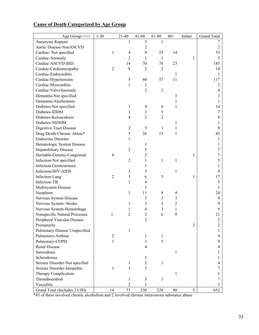|                                                                                   | Grand Total |
|-----------------------------------------------------------------------------------|-------------|
| Aneurysm Rupture<br>5<br>1<br>1                                                   | 7           |
| Aortic Disease-NonASCVD<br>$\overline{c}$                                         | 2           |
| Cardiac-Not specified<br>9<br>$\mathbf{1}$<br>$\overline{4}$<br>25<br>14          | 53          |
| $\overline{2}$<br>Cardiac-Anomaly<br>1<br>$\mathbf{1}$<br>1                       | 5           |
| Cardiac-ASCVD-IHD<br>14<br>78<br>23<br>70                                         | 185         |
| Cardiac-Cardiomyopathy<br>8<br>$\overline{2}$<br>$\overline{2}$<br>$\overline{2}$ | 14          |
| Cardiac-Endocarditis<br>1                                                         | 1           |
| Cardiac-Hypertension<br>57<br>11<br>5<br>44                                       | 117         |
| Cardiac-Myocarditis<br>1<br>1                                                     | 2           |
| Cardiac-ValveAnomaly<br>$\overline{2}$<br>$\overline{2}$                          | 4           |
| Dementia-Not specified<br>$\mathfrak{Z}$                                          | 3           |
| Dementia-Alzeheimers<br>1                                                         | 1           |
| 3<br>Diabetes-Not specified<br>$\overline{4}$<br>6<br>1                           | 14          |
| Diabetes-IDDM<br>$\mathbf{1}$<br>3<br>3                                           | 7           |
| $\overline{2}$<br>$\overline{2}$<br>Diabetes-Ketoacidosis<br>4                    | 8           |
| Diabetes-NIDDM<br>1                                                               |             |
| 5<br>Digestive Tract Disease<br>$\overline{2}$<br>1<br>1                          | 9           |
| 5<br>13<br>Drug-Death-Chronic Abuse*<br>26<br>$\mathbf{1}$                        | 45          |
| <b>Endocrine Disorder</b><br>$\mathbf{1}$                                         | 1           |
| Hematologic System Dsiease<br>1                                                   |             |
| 5<br>Hepatobiliary Disease<br>$\overline{2}$                                      | 7           |
| Heritable-Genetic-Congenital<br>$\overline{2}$<br>4<br>1                          | 7           |
| Infection-Not specified<br>$\overline{2}$<br>1<br>1<br>1                          | 5           |
| Infection-Genitourinary<br>1                                                      |             |
| Infection-HIV-AIDS<br>3<br>5<br>$\mathbf{1}$                                      | 9           |
| Infection-Lung<br>$\overline{2}$<br>3<br>5<br>6<br>1                              | 17          |
| Infection-TB<br>$\mathbf{1}$<br>4                                                 | 5           |
| Multisystem Disease<br>1                                                          | 1           |
| Neoplasm<br>11<br>$\,8\,$<br>1<br>4                                               | 24          |
| Nervous System Disease<br>3<br>3<br>3                                             | 9           |
| 3<br>3<br>$\overline{2}$<br>Nervous System-Stroke<br>1                            | 9           |
| Nervous System-Hemorrhage<br>3<br>4<br>1<br>1                                     | 9           |
| 9<br>Nonspecific Natural Processes<br>$\overline{2}$<br>3<br>6<br>1               | 21          |
| $\overline{2}$<br>Peripheral Vascular Disease                                     | 2           |
| $\overline{2}$<br>Prematurity                                                     | 2           |
| Pulmonary Disease Unspecified<br>1                                                | 1           |
| Pulmonary-Asthma<br>$\overline{2}$<br>$\mathbf{1}$<br>1                           | 4           |
| Pulmonary-COPD<br>3<br>5<br>$\mathbf{1}$                                          | 9           |
| Renal Disease<br>4                                                                | 4           |
| Sarcoidosis<br>1                                                                  |             |
| Scleroderma<br>1                                                                  | 1           |
| Seizure Disorder-Not specified<br>1<br>$\overline{2}$<br>1                        | 4           |
| 5<br>Seizure Disorder-Idiopathic<br>$\mathbf{1}$<br>$\mathbf{1}$                  | 7           |
| Therapy Complication<br>1                                                         |             |
| Thromboemboli<br>5<br>1<br>1                                                      |             |
| Vasculitis<br>$\overline{2}$<br>1                                                 | 3           |
| 5<br>Grand Total (Includes 2 UID)<br>14<br>73<br>250<br>228<br>80                 | 652         |

## **Cause of Death Categorized by Age Group**

\*43 of these involved chronic alcoholism and 2 involved chronic intravenous substance abuse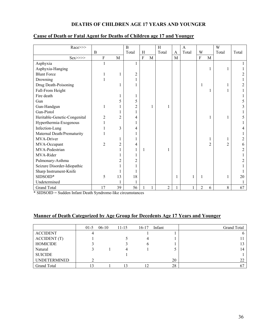## **DEATHS OF CHILDREN AGE 17 YEARS AND YOUNGER**

| Race>>>                      |                           |                | B              |                |             | H              |             | $\mathbf{A}$ |                |                | W              |       |
|------------------------------|---------------------------|----------------|----------------|----------------|-------------|----------------|-------------|--------------|----------------|----------------|----------------|-------|
|                              | B                         |                | Total          | $\,$ H         |             | Total          | A           | Total        | W              |                | Total          | Total |
| $Sex \gg \gg$                | $\boldsymbol{\mathrm{F}}$ | M              |                | $\overline{F}$ | $\mathbf M$ |                | $\mathbf M$ |              | $\rm F$        | $\mathbf{M}$   |                |       |
| Asphyxia                     |                           |                |                |                |             |                |             |              |                |                |                |       |
| Asphyxia-Hanging             |                           |                |                |                |             |                |             |              |                |                |                |       |
| <b>Blunt Force</b>           |                           |                | $\overline{2}$ |                |             |                |             |              |                |                |                |       |
| Drowning                     |                           |                |                |                |             |                |             |              |                |                |                |       |
| Drug Death-Poisoning         |                           |                |                |                |             |                |             |              |                |                |                |       |
| Fall-From Height             |                           |                |                |                |             |                |             |              |                |                |                |       |
| Fire death                   |                           |                | 1              |                |             |                |             |              |                |                |                |       |
| Gun                          |                           | 5              | 5              |                |             |                |             |              |                |                |                |       |
| Gun-Handgun                  |                           |                | $\overline{c}$ |                | 1           |                |             |              |                |                |                |       |
| Gun-Pistol                   |                           |                |                |                |             |                |             |              |                |                |                |       |
| Heritable-Genetic-Congenital | 2                         | $\overline{2}$ | 4              |                |             |                |             |              |                |                |                |       |
| Hyperthermia-Exogenous       |                           |                |                |                |             |                |             |              |                |                |                |       |
| Infection-Lung               |                           | 3              | 4              |                |             |                |             |              |                |                |                |       |
| Maternal Death/Prematurity   |                           |                |                |                |             |                |             |              |                |                |                |       |
| MVA-Driver                   |                           |                |                |                |             |                |             |              |                |                |                |       |
| MVA-Occupant                 | $\overline{2}$            | 2              | 4              |                |             |                |             |              |                | $\overline{2}$ | $\overline{2}$ | n     |
| MVA-Pedestrian               |                           |                |                |                |             |                |             |              |                |                |                |       |
| MVA-Rider                    |                           |                |                |                |             |                |             |              |                |                |                |       |
| Pulmonary-Asthma             |                           | 2              | $\overline{2}$ |                |             |                |             |              |                |                |                |       |
| Seizure Disorder-Idiopathic  |                           |                |                |                |             |                |             |              |                |                |                |       |
| Sharp Instrument-Knife       |                           |                |                |                |             |                |             |              |                |                |                |       |
| SIDSOID*                     | 5                         | 13             | 18             |                |             |                | 1           |              |                |                |                | 20    |
| Undetermined                 |                           |                |                |                |             |                |             |              |                |                |                |       |
| <b>Grand Total</b>           | 17                        | 39             | 56             |                |             | $\overline{2}$ |             |              | $\overline{2}$ | 6              | $8\,$          | 67    |

#### **Cause of Death or Fatal Agent for Deaths of Children age 17 and Younger**

\* SIDSOID = Sudden Infant Death Syndrome-like circumstances

#### **Manner of Death Categorized by Age Group for Decedents Age 17 Years and Younger**

|                     | $01-5$ | $06-10$ | $11 - 15$ | $16-17$ | Infant | <b>Grand Total</b> |
|---------------------|--------|---------|-----------|---------|--------|--------------------|
| <b>ACCIDENT</b>     | 4      |         |           |         |        |                    |
| <b>ACCIDENT</b> (T) |        |         |           |         |        |                    |
| <b>HOMICIDE</b>     |        |         |           | h       |        |                    |
| Natural             |        |         | 4         |         |        | 14                 |
| <b>SUICIDE</b>      |        |         |           |         |        |                    |
| <b>UNDETERMINED</b> |        |         |           |         | 20     | 22                 |
| <b>Grand Total</b>  |        |         | 13        |         | 28     |                    |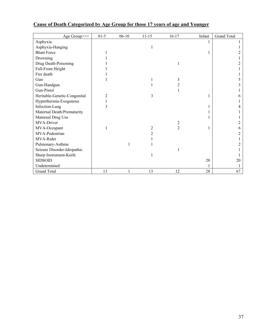| Age Group>>>                 | $01-5$ | $06-10$ | $11 - 15$ | $16 - 17$      | Infant | <b>Grand Total</b> |
|------------------------------|--------|---------|-----------|----------------|--------|--------------------|
| Asphyxia                     |        |         |           |                |        |                    |
| Asphyxia-Hanging             |        |         |           |                |        |                    |
| <b>Blunt Force</b>           |        |         |           |                |        |                    |
| Drowning                     |        |         |           |                |        |                    |
| Drug Death-Poisoning         |        |         |           |                |        |                    |
| Fall-From Height             |        |         |           |                |        |                    |
| Fire death                   |        |         |           |                |        |                    |
| Gun                          |        |         |           | 3              |        |                    |
| Gun-Handgun                  |        |         |           | 2              |        |                    |
| Gun-Pistol                   |        |         |           |                |        |                    |
| Heritable-Genetic-Congenital | 2      |         | 3         |                |        |                    |
| Hyperthermia-Exogenous       |        |         |           |                |        |                    |
| Infection-Lung               | 3      |         |           |                |        |                    |
| Maternal Death/Prematurity   |        |         |           |                |        |                    |
| Maternal Drug Use            |        |         |           |                |        |                    |
| MVA-Driver                   |        |         |           | 2              |        |                    |
| MVA-Occupant                 |        |         | 2         | $\overline{2}$ |        |                    |
| MVA-Pedestrian               |        |         |           |                |        |                    |
| MVA-Rider                    |        |         |           |                |        |                    |
| Pulmonary-Asthma             |        |         |           |                |        |                    |
| Seizure Disorder-Idiopathic  |        |         |           |                |        |                    |
| Sharp Instrument-Knife       |        |         |           |                |        |                    |
| <b>SIDSOID</b>               |        |         |           |                | $20\,$ | 20                 |
| Undetermined                 |        |         |           |                |        |                    |
| <b>Grand Total</b>           | 13     |         | 13        | 12             | $28\,$ | 67                 |

## **Cause of Death Categorized by Age Group for those 17 years of age and Younger**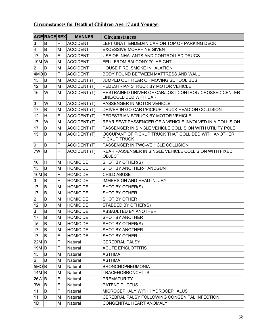## **Circumstances for Death of Children Age 17 and Younger**

|                       | AGERACESEX                |    | <b>MANNER</b>       | <b>Circumstances</b>                                                            |
|-----------------------|---------------------------|----|---------------------|---------------------------------------------------------------------------------|
| 3                     | ΙB.                       | F  | <b>ACCIDENT</b>     | LEFT UNATTENDED/IN CAR ON TOP OF PARKING DECK                                   |
| 4                     | ΙB.                       | ΙM | <b>ACCIDENT</b>     | <b>EXCESSIVE MORPHINE GIVEN</b>                                                 |
| 17                    | lw                        | F  | <b>ACCIDENT</b>     | USE OF INHALANTS AND CONTROLLED DRUGS                                           |
| $19M$ $\vert W \vert$ |                           | M  | <b>ACCIDENT</b>     | FELL FROM BALCONY 70' HEIGHT                                                    |
| $ 2\rangle$           | İΒ.                       | ΙM | <b>ACCIDENT</b>     | HOUSE FIRE, SMOKE INHALATION                                                    |
| 4MO B                 |                           | F  | <b>ACCIDENT</b>     | BODY FOUND BETWEEN MATTRESS AND WALL                                            |
| 15                    | lB.                       | M  | <b>ACCIDENT (T)</b> | JUMPED OUT REAR OF MOVING SCHOOL BUS                                            |
| 12                    | ΙB.                       | lм | <b>ACCIDENT (T)</b> | PEDESTRIAN STRUCK BY MOTOR VEHICLE                                              |
| 16                    | lw                        | ΙM | <b>ACCIDENT (T)</b> | RESTRAINED DRIVER OF CAR/LOST CONTROL/ CROSSED CENTER<br>LINE/COLLIDED WITH CAR |
| 3                     | W                         | M  | ACCIDENT (T)        | PASSENGER IN MOTOR VEHICLE                                                      |
| 17                    | ΙB.                       | M  | <b>ACCIDENT (T)</b> | DRIVER IN GO-CART/PICKUP TRUCK HEAD-ON COLLISION                                |
| 12                    | H                         | F  | <b>ACCIDENT (T)</b> | PEDESTRIAN STRUCK BY MOTOR VEHICLE                                              |
| 17                    | lW                        | M  | <b>ACCIDENT (T)</b> | REAR SEAT PASSENGER OF A VEHICLE INVOLVED IN A COLLISION                        |
| 17                    | ΙB.                       | M  | <b>ACCIDENT (T)</b> | PASSENGER IN SINGLE VEHICLE COLLISION WITH UTILITY POLE                         |
| 15                    | ΙB.                       | M  | <b>ACCIDENT (T)</b> | OCCUPANT OF PICKUP TRUCK THAT COLLIDED WITH ANOTHER<br>PICKUP TRUCK             |
| 9                     | ΙB                        | F  | <b>ACCIDENT (T)</b> | PASSENGER IN TWO-VEHICLE COLLISION                                              |
| 7W                    | lв                        | F  | ACCIDENT (T)        | REAR PASSENGER IN SINGLE VEHICLE COLLISION WITH FIXED<br><b>OBJECT</b>          |
| 16                    | lH                        | ΙM | <b>HOMICIDE</b>     | SHOT BY OTHER(S)                                                                |
| 15                    | ΙB.                       | M  | <b>HOMICIDE</b>     | SHOT BY ANOTHER-HANDGUN                                                         |
| $10M$ B               |                           | F  | <b>HOMICIDE</b>     | <b>CHILD ABUSE</b>                                                              |
| 3                     | ΙB                        | F  | <b>HOMICIDE</b>     | <b>IMMERSION AND HEAD INJURY</b>                                                |
| 17                    | lB.                       | M  | <b>HOMICIDE</b>     | SHOT BY OTHER(S)                                                                |
| 17                    | ΙB.                       | ΙM | <b>HOMICIDE</b>     | <b>SHOT BY OTHER</b>                                                            |
| 2                     | ΙB                        | ΙM | <b>HOMICIDE</b>     | <b>SHOT BY OTHER</b>                                                            |
| 12                    | ΙB.                       | ΙM | <b>HOMICIDE</b>     | STABBED BY OTHER(S)                                                             |
| 3                     | B                         | ΙM | <b>HOMICIDE</b>     | ASSAULTED BY ANOTHER                                                            |
| 17                    | B                         | M  | <b>HOMICIDE</b>     | SHOT BY ANOTHER                                                                 |
| 15                    | $\overline{ \mathsf{B} }$ | M  | <b>HOMICIDE</b>     | SHOT BY OTHER(S)                                                                |
| 17                    | ΙB.                       | M  | <b>HOMICIDE</b>     | <b>SHOT BY ANOTHER</b>                                                          |
| 17                    | lB.                       | F  | <b>HOMICIDE</b>     | <b>SHOT BY OTHER</b>                                                            |
| 22M B                 |                           | F  | Natural             | <b>CEREBRAL PALSY</b>                                                           |
| $19M$ B               |                           | F  | Natural             | <b>ACUTE EPIGLOTTITIS</b>                                                       |
| 15                    | Β                         | M  | Natural             | ASTHMA                                                                          |
| 6                     | İΒ.                       | M  | Natural             | <b>ASTHMA</b>                                                                   |
| 5MO B                 |                           | ΙM | Natural             | <b>BRONCHOPNEUMONIA</b>                                                         |
| 14 $M \vert B$        |                           | ΙM | Natural             | <b>TRACEHOBRONCHITIS</b>                                                        |
| 26WB                  |                           | F  | Natural             | <b>PREMATURITY</b>                                                              |
| 3W                    | B.                        | F  | Natural             | PATENT DUCTUS                                                                   |
| 11                    | Β                         | F  | Natural             | MICROCEPHALY WITH HYDROCEPHALUS                                                 |
| 11                    | ΙB                        | M  | Natural             | CEREBRAL PALSY FOLLOWING CONGENITAL INFECTION                                   |
| 1D                    |                           | M  | Natural             | CONGENITAL HEART ANOMALY                                                        |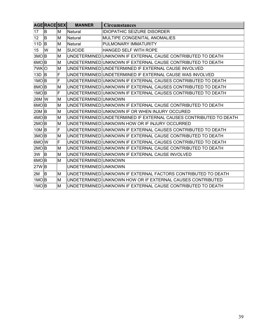|                    | AGERACESEX   |     | <b>MANNER</b>        | <b>Circumstances</b>                                              |
|--------------------|--------------|-----|----------------------|-------------------------------------------------------------------|
| 17                 | ΙB.          | M   | Natural              | <b>IDIOPATHIC SEIZURE DISORDER</b>                                |
| 12                 | ΙB.          | M   | Natural              | MULTIPE CONGENITAL ANOMALIES                                      |
| 11D                | <sup>B</sup> | ΙM  | Natural              | PULMONARY IMMATURITY                                              |
| 15                 | lw           | M   | <b>SUICIDE</b>       | HANGED SELF WITH ROPE                                             |
| βMO B              |              | M   |                      | UNDETERMINED UNKNOWN IF EXTERNAL CAUSE CONTRIBUTED TO DEATH       |
| 6MO B              |              | ΙM  |                      | UNDETERMINED UNKNOWN IF EXTERNAL CAUSE CONTRIBUTED TO DEATH       |
| 7WKO               |              | M   |                      | UNDETERMINED UNDETERMINED IF EXTERNAL CAUSE INVOLVED              |
| $13D$ B            |              | F   |                      | UNDETERMINED UNDETERMINED IF EXTERNAL CAUSE WAS INVOLVED          |
| 1MO B              |              | F   |                      | UNDETERMINED UNKNOWN IF EXTERNAL CAUSES CONTRIBUTED TO DEATH      |
| 8MO B              |              | M   |                      | UNDETERMINED UNKNOWN IF EXTERNAL CAUSES CONTRIBUTED TO DEATH      |
| 1MO B              |              | F   |                      | UNDETERMINED UNKNOWN IF EXTERNAL CAUSES CONTRIBUTED TO DEATH      |
| 26M W              |              | M   | UNDETERMINED UNKNOWN |                                                                   |
| 6MO B              |              | M   |                      | UNDETERMINED UNKNOWN IF EXTERNAL CAUSE CONTRIBUTED TO DEATH       |
| 20M B              |              | ΙM  |                      | UNDETERMINED UNKNOWN IF OR WHEN INJURY OCCURED                    |
| 4MO B              |              | M   |                      | UNDETERMINED UNDETERMINED IF EXTERNAL CAUSES CONTRIBUTED TO DEATH |
| 2MOB               |              | M   |                      | UNDETERMINED UNKNOWN HOW OR IF INJURY OCCURRED                    |
| $10M$ B            |              | F   |                      | UNDETERMINED UNKNOWN IF EXTERNAL CAUSES CONTRIBUTED TO DEATH      |
| $3MO$ <sub>B</sub> |              | M   |                      | UNDETERMINED UNKNOWN IF EXTERNAL CAUSE CONTRIBUTED TO DEATH       |
| 6MOW               |              | F   |                      | UNDETERMINED UNKNOWN IF EXTERNAL CAUSES CONTRIBUTED TO DEATH      |
| 2MO B              |              | M   |                      | UNDETERMINED UNKNOWN IF EXTERNAL CAUSE CONTRIBUTED TO DEATH       |
| 3W                 | <sup>B</sup> | M   |                      | UNDETERMINED UNKNOWN IF EXTERNAL CAUSE INVOLVED                   |
| 6MO B              |              | lМ  | UNDETERMINED UNKNOWN |                                                                   |
| 27W B              |              |     | UNDETERMINED UNKNOWN |                                                                   |
| 2M                 | lв           | lM. |                      | UNDETERMINED UNKNOWN IF EXTERNAL FACTORS CONTRIBUTED TO DEATH     |
| $1MO$ <sub>B</sub> |              | M   |                      | UNDETERMINED UNKNOWN HOW OR IF EXTERNAL CAUSES CONTRIBUTED        |
| $1MO$ B            |              | M   |                      | UNDETERMINED UNKNOWN IF EXTERNAL CAUSE CONTRIBUTED TO DEATH       |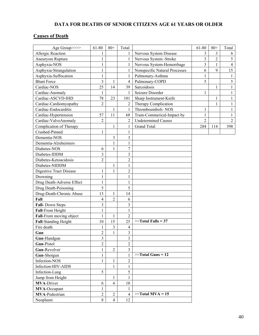## **DATA FOR DEATHS OF SENIOR CITIZENS AGE 61 YEARS OR OLDER**

## **Causes of Death**

| Age Group>>>>                                          | 61-80                   | $80+$                   | Total                            |                               | 61-80                   | $80+$          | Total          |
|--------------------------------------------------------|-------------------------|-------------------------|----------------------------------|-------------------------------|-------------------------|----------------|----------------|
| Allergic Reaction                                      | 1                       |                         | 1                                | Nervous System Disease        | $\overline{\mathbf{3}}$ | $\overline{3}$ | 6              |
| Aneurysm Rupture                                       | $\mathbf{1}$            |                         | 1                                | Nervous System - Stroke       | $\overline{3}$          | $\overline{2}$ | 5              |
| Asphyxia-NOS                                           | 1                       |                         | 1                                | Nervous System-Hemorrhage     | $\overline{\mathbf{3}}$ | $\mathbf{1}$   | $\overline{4}$ |
| Asphyxia-Strangulation                                 | $\mathbf{1}$            |                         | 1                                | Nonspecific Natural Processes | 6                       | 9              | 15             |
| Asphyxia-Suffocation                                   | $\mathbf{1}$            |                         | 1                                | Pulmonary-Asthma              | $\mathbf{1}$            |                | $\,1$          |
| <b>Blunt Force</b>                                     | 3                       | $\mathbf{1}$            | $\overline{4}$                   | Pulmonary-COPD                | 5                       |                | 5              |
| Cardiac-NOS                                            | 25                      | 14                      | 39                               | Sarcoidosis                   |                         | $\mathbf{1}$   | $\mathbf{1}$   |
| Cardiac-Anomaly                                        | 1                       |                         | 1                                | Seizure Disorder              | $\mathbf{1}$            |                | $\mathbf{1}$   |
| Cardiac-ASCVD-IHD                                      | 78                      | 23                      | 101                              | Sharp Instrument-Knife        |                         | 1              | $\mathbf{1}$   |
| Cardiac-Cardiomyopathy                                 | $\overline{2}$          |                         | $\overline{2}$                   | Therapy Complication          |                         | $\mathbf{1}$   | $\mathbf{1}$   |
| Cardiac-Endocarditis                                   |                         | $\mathbf{1}$            | $\mathbf{1}$                     | Thromboemboli-NOS             | $\mathbf{1}$            |                | $\mathbf{1}$   |
| Cardiac-Hypertension                                   | 57                      | 11                      | 68                               | Train-Commerical-Impact by    | $\mathbf{1}$            |                | $\mathbf{1}$   |
| Cardiac-ValveAnomaly                                   | $\overline{c}$          |                         | $\overline{2}$                   | <b>Undetermined Causes</b>    | $\overline{2}$          |                | $\overline{2}$ |
| Complication of Therapy                                |                         | $\mathbf{1}$            | 1                                | <b>Grand Total</b>            | 284                     | 114            | 398            |
| Crushed-Pinned                                         | 1                       |                         | 1                                |                               |                         |                |                |
| Dementia-NOS                                           |                         | $\overline{\mathbf{3}}$ | $\overline{3}$                   |                               |                         |                |                |
| Dementia-Alzeheimers                                   |                         | $\mathbf{1}$            | $\mathbf{1}$                     |                               |                         |                |                |
| Diabetes-NOS                                           | 6                       | $\mathbf{1}$            | $\overline{7}$                   |                               |                         |                |                |
| Diabetes-IDDM                                          | $\overline{3}$          |                         | 3                                |                               |                         |                |                |
| Diabetes-Ketoacidosis                                  | $\overline{2}$          |                         | $\overline{2}$                   |                               |                         |                |                |
| Diabetes-NIDDM                                         |                         | $\mathbf{1}$            | 1                                |                               |                         |                |                |
| Digestive Tract Disease                                | 1                       | $\mathbf{1}$            | $\sqrt{2}$                       |                               |                         |                |                |
| Drowning                                               | $\mathbf{1}$            |                         | $\mathbf{1}$                     |                               |                         |                |                |
| Drug Death-Adverse Effect                              | $\,1$                   |                         | $\,1$                            |                               |                         |                |                |
| Drug Death-Poisoning                                   | 5                       |                         | 5                                |                               |                         |                |                |
| Drug-Death-Chronic Abuse                               | 13                      | $\mathbf{1}$            | 14                               |                               |                         |                |                |
| Fall                                                   | 4                       | $\overline{c}$          | 6                                |                               |                         |                |                |
| Fall- Down Steps                                       | $\overline{\mathbf{3}}$ |                         | 3                                |                               |                         |                |                |
| Fall-From Height                                       | $\,1$                   |                         | $\mathbf{1}$                     |                               |                         |                |                |
|                                                        | $\mathbf{1}$            | $\mathbf{1}$            | $\overline{2}$                   |                               |                         |                |                |
| Fall-From moving object<br><b>Fall-Standing Height</b> | 10                      | 15                      | 25                               | $>>$ Total Falls = 37         |                         |                |                |
| Fire death                                             | 1                       | $\overline{\mathbf{3}}$ | $\overline{4}$                   |                               |                         |                |                |
|                                                        | $\overline{2}$          | $\mathbf{1}$            | $\overline{3}$                   |                               |                         |                |                |
| Gun                                                    |                         |                         |                                  |                               |                         |                |                |
| Gun-Handgun                                            | 3                       |                         | $\overline{3}$<br>$\overline{2}$ |                               |                         |                |                |
| Gun-Pistol                                             | $\overline{2}$          |                         |                                  |                               |                         |                |                |
| Gun-Revolver                                           | $\mathbf{1}$            | $\overline{2}$          | $\overline{3}$                   | $>>$ Total Guns = 12          |                         |                |                |
| Gun-Shotgun                                            | $\mathbf{1}$            |                         | $\mathbf{1}$                     |                               |                         |                |                |
| Infection-NOS                                          | $\mathbf{1}$            | $\mathbf{1}$            | $\sqrt{2}$                       |                               |                         |                |                |
| Infection-HIV-AIDS                                     |                         | $\mathbf{1}$            | 1                                |                               |                         |                |                |
| Infection-Lung                                         | 5                       |                         | 5                                |                               |                         |                |                |
| Jump from Height                                       |                         | $\mathbf{1}$            | $\mathbf{1}$                     |                               |                         |                |                |
| <b>MVA-Driver</b>                                      | 6                       | $\overline{4}$          | 10                               |                               |                         |                |                |
| MVA-Occupant                                           | $\mathbf{1}$            |                         | 1                                |                               |                         |                |                |
| <b>MVA-Pedestrian</b>                                  | $\overline{c}$          | $\overline{2}$          | $\overline{4}$                   | $>>$ Total MVA = 15           |                         |                |                |
| Neoplasm                                               | 8                       | $\overline{4}$          | 12                               |                               |                         |                |                |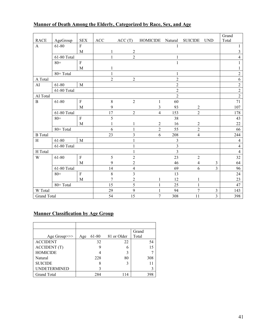## **Manner of Death Among the Elderly, Categorized by Race, Sex, and Age**

|                    |             |                |                |                  |                  |                         |                  |                         | Grand            |
|--------------------|-------------|----------------|----------------|------------------|------------------|-------------------------|------------------|-------------------------|------------------|
| <b>RACE</b>        | AgeGroup    | <b>SEX</b>     | ACC            | ACC(T)           | HOMICIDE Natural |                         | <b>SUICIDE</b>   | <b>UND</b>              | Total            |
| $\mathbf{A}$       | 61-80       | $\overline{F}$ |                |                  |                  | $\mathbf{1}$            |                  |                         | 1                |
|                    |             | M              |                | $\overline{c}$   |                  |                         |                  |                         | $\mathfrak{Z}$   |
|                    | 61-80 Total |                | $\mathbf{1}$   | $\overline{2}$   |                  | 1                       |                  |                         | $\overline{4}$   |
|                    | $80 +$      | $\mathbf F$    |                |                  |                  | $\mathbf{1}$            |                  |                         | 1                |
|                    |             | M              |                |                  |                  |                         |                  |                         | 1                |
|                    | 80+ Total   |                | $\mathbf{1}$   |                  |                  | 1                       |                  |                         | $\sqrt{2}$       |
| A Total            |             |                | $\overline{2}$ | $\boldsymbol{2}$ |                  | $\overline{c}$          |                  |                         | 6                |
| AI                 | 61-80       | $\mathbf M$    |                |                  |                  | $\overline{c}$          |                  |                         | $\sqrt{2}$       |
|                    | 61-80 Total |                |                |                  |                  | $\overline{2}$          |                  |                         | $\boldsymbol{2}$ |
| AI Total           |             |                |                |                  |                  | $\overline{2}$          |                  |                         | $\overline{2}$   |
| $\, {\bf B}$       | 61-80       | $\mathbf F$    | 8              | $\overline{2}$   | $\mathbf{1}$     | 60                      |                  |                         | 71               |
|                    |             | M              | 9              |                  | 3                | 93                      | $\overline{c}$   |                         | 107              |
|                    | 61-80 Total |                | 17             | $\sqrt{2}$       | $\overline{4}$   | 153                     | $\overline{2}$   |                         | 178              |
|                    | $80 +$      | $\rm F$        | 5              |                  |                  | 38                      |                  |                         | 43               |
|                    |             | M              |                | 1                | $\overline{c}$   | 16                      | $\boldsymbol{2}$ |                         | 22               |
|                    | 80+ Total   |                | 6              | 1                | $\overline{2}$   | 55                      | $\overline{2}$   |                         | 66               |
| <b>B</b> Total     |             |                | 23             | $\overline{3}$   | 6                | 208                     | $\overline{4}$   |                         | 244              |
| H                  | 61-80       | M              |                |                  |                  | 3                       |                  |                         | $\overline{4}$   |
|                    | 61-80 Total |                |                |                  |                  | $\overline{\mathbf{3}}$ |                  |                         | $\overline{4}$   |
| H Total            |             |                |                | 1                |                  | $\overline{3}$          |                  |                         | $\overline{4}$   |
| W                  | 61-80       | ${\bf F}$      | 5              | $\overline{2}$   |                  | 23                      | $\overline{2}$   |                         | 32               |
|                    |             | M              | 9              | $\overline{2}$   |                  | 46                      | $\overline{4}$   | 3                       | 64               |
|                    | 61-80 Total |                | 14             | $\overline{4}$   |                  | 69                      | 6                | $\overline{3}$          | 96               |
|                    | $80 +$      | $\rm F$        | 8              | 3                |                  | 13                      |                  |                         | 24               |
|                    |             | M              | $\overline{7}$ | $\overline{c}$   | 1                | 12                      | $\mathbf{1}$     |                         | 23               |
|                    | 80+ Total   |                | 15             | 5                |                  | 25                      |                  |                         | 47               |
| W Total            |             |                | 29             | $\mathbf{9}$     | 1                | 94                      | $\overline{7}$   | 3                       | 143              |
| <b>Grand Total</b> |             |                | 54             | 15               | 7                | 308                     | 11               | $\overline{\mathbf{3}}$ | 398              |

#### **Manner Classification by Age Group**

|                     |     |       |             | Grand |
|---------------------|-----|-------|-------------|-------|
| Age Group>>>        | Age | 61-80 | 81 or Older | Total |
| <b>ACCIDENT</b>     |     | 32    | 22          | 54    |
| <b>ACCIDENT</b> (T) |     | g     | 6           | 15    |
| <b>HOMICIDE</b>     |     |       | 3           |       |
| Natural             |     | 228   | 80          | 308   |
| <b>SUICIDE</b>      |     | 8     |             |       |
| UNDETERMINED        |     |       |             |       |
| <b>Grand Total</b>  |     | 284   |             | 398   |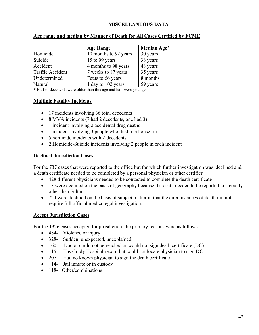#### **MISCELLANEOUS DATA**

|                         | <b>Age Range</b>      | Median Age* |
|-------------------------|-----------------------|-------------|
| Homicide                | 10 months to 92 years | 30 years    |
| Suicide                 | 15 to 99 years        | 38 years    |
| Accident                | 4 months to 98 years  | 48 years    |
| <b>Traffic Accident</b> | 7 weeks to 87 years   | 35 years    |
| Undetermined            | Fetus to 66 years     | 8 months    |
| Natural                 | 1 day to 102 years    | 59 years    |

#### **Age range and median by Manner of Death for All Cases Certified by FCME**

\* Half of decedents were older than this age and half were younger

#### **Multiple Fatality Incidents**

- 17 incidents involving 36 total decedents
- 8 MVA incidents (7 had 2 decedents, one had 3)
- 1 incident involving 2 accidental drug deaths
- 1 incident involving 3 people who died in a house fire
- 5 homicide incidents with 2 decedents
- 2 Homicide-Suicide incidents involving 2 people in each incident

#### **Declined Jurisdiction Cases**

For the 737 cases that were reported to the office but for which further investigation was declined and a death certificate needed to be completed by a personal physician or other certifier:

- 428 different physicians needed to be contacted to complete the death certificate
- 13 were declined on the basis of geography because the death needed to be reported to a county other than Fulton
- 724 were declined on the basis of subject matter in that the circumstances of death did not require full official medicolegal investigation.

#### **Accept Jurisdiction Cases**

For the 1326 cases accepted for jurisdiction, the primary reasons were as follows:

- 484- Violence or injury
- 328- Sudden, unexpected, unexplained
- 60– Doctor could not be reached or would not sign death certificate (DC)
- 115- Has Grady Hospital record but could not locate physician to sign DC
- 207- Had no known physician to sign the death certificate
- 14- Jail inmate or in custody
- 118- Other/combinations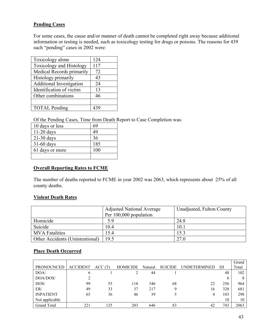#### **Pending Cases**

For some cases, the cause and/or manner of death cannot be completed right away because additional information or testing is needed, such as toxicology testing for drugs or poisons. The reasons for 439 such "pending" cases in 2002 were:

| Toxicology alone                | 124 |
|---------------------------------|-----|
| Toxicology and Histology        | 117 |
| Medical Records primarily       | 72  |
| Histology primarily             | 43  |
| <b>Additional Investigation</b> | 24  |
| Identification of victim        | 13  |
| Other combinations              | 46  |
|                                 |     |
| <b>TOTAL Pending</b>            | 439 |
|                                 |     |

Of the Pending Cases, Time from Death Report to Case Completion was:

| 10 days or less | 69  |
|-----------------|-----|
| $11-20$ days    | 49  |
| $21-30$ days    | 36  |
| 31-60 days      | 185 |
| 61 days or more | 100 |
|                 |     |

#### **Overall Reporting Rates to FCME**

The number of deaths reported to FCME in year 2002 was 2063, which represents about 25% of all county deaths.

#### **Violent Death Rates**

|                                 | <b>Adjusted National Average</b> | Unadjusted, Fulton County |
|---------------------------------|----------------------------------|---------------------------|
|                                 | Per 100,000 population           |                           |
| Homicide                        | 59                               | 24.8                      |
| Suicide                         | 10.4                             | 10.1                      |
| <b>MVA</b> Fatalities           | 15.4                             | 15.3                      |
| Other Accidents (Unintentional) | 19.5                             | 27.0                      |

#### **Place Death Occurred**

|                   |                 |        |                 |         |                |                     |              | Grand |
|-------------------|-----------------|--------|-----------------|---------|----------------|---------------------|--------------|-------|
| <b>PRONOUNCED</b> | <b>ACCIDENT</b> | ACC(T) | <b>HOMICIDE</b> | Natural | <b>SUICIDE</b> | <b>UNDETERMINED</b> | DJ           | Total |
| DOA/              | b               |        |                 | 44      |                |                     | 48           | 102   |
| DOA/DOS/          |                 |        |                 |         |                |                     | <sub>(</sub> | 8     |
| DOS/              | 99              | 55     | 118             | 346     | 68             | 22                  | 256          | 964   |
| ER/               | 49              | 33     | 37              | 217     |                | 16                  | 320          | 681   |
| <b>INPATIENT</b>  | 65              | 36     | 46              | 39      |                |                     | 103          | 298   |
| Not applicable    |                 |        |                 |         |                |                     | 10           | 10    |
| Grand Total       | 221             | 125    | 203             | 646     | 83             | 42                  | 743          | 2063  |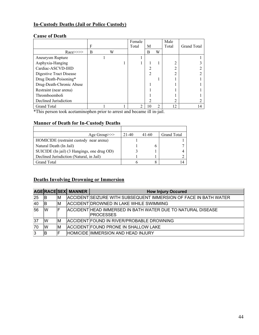#### **In-Custody Deaths (Jail or Police Custody)**

#### **Cause of Death**

|                          |   |   | Female |    |   | Male  |                    |
|--------------------------|---|---|--------|----|---|-------|--------------------|
|                          | F |   | Total  | М  |   | Total | <b>Grand Total</b> |
| $Race \ge \ge \ge$       | B | W |        | B  | W |       |                    |
| Aneurysm Rupture         |   |   |        |    |   |       |                    |
| Asphyxia-Hanging         |   |   |        |    |   | ↑     |                    |
| Cardiac-ASCVD-IHD        |   |   |        |    |   | C     |                    |
| Digestive Tract Disease  |   |   |        |    |   | 2     |                    |
| Drug Death-Poisoning*    |   |   |        |    |   |       |                    |
| Drug-Death-Chronic Abuse |   |   |        |    |   |       |                    |
| Restraint (near arena)   |   |   |        |    |   |       |                    |
| Thromboemboli            |   |   |        |    |   |       |                    |
| Declined Jurisdiction    |   |   |        |    |   | 2     |                    |
| <b>Grand Total</b>       |   |   | ∍      | 10 | 2 | 12    | 14                 |

\*This person took acetaminophen prior to arrest and became ill in-jail.

#### **Manner of Death for In-Custody Deaths**

| Age Group $\gg$                             | 21-40 | $41 - 60$ | Grand Total |
|---------------------------------------------|-------|-----------|-------------|
| HOMICIDE (restraint custody near arena)     |       |           |             |
| Natural Death (In Jail)                     |       |           |             |
| SUICIDE (In jail) (3 Hangings, one drug OD) |       |           |             |
| Declined Jurisdiction (Natural, in Jail)    |       |           |             |
| <b>Grand Total</b>                          |       |           |             |

#### **Deaths Involving Drowning or Immersion**

|              |    |    | AGERACESEX MANNER | <b>How Injury Occured</b>                                                        |
|--------------|----|----|-------------------|----------------------------------------------------------------------------------|
| 25           | ΙB | ΙM |                   | ACCIDENT SEIZURE WITH SUBSEQUENT IMMERSION OF FACE IN BATH WATER                 |
| $ 40\rangle$ | ΙB | ΙM |                   | ACCIDENT DROWNED IN LAKE WHILE SWIMMING                                          |
| 56           | IW |    |                   | ACCIDENTIHEAD IMMERSED IN BATH WATER DUE TO NATURAL DISEASE<br><b>IPROCESSES</b> |
| 37           | lW | lΜ |                   | ACCIDENT FOUND IN RIVER/PROBABLE DROWNING                                        |
| 70           | lW | ΙM |                   | ACCIDENT FOUND PRONE IN SHALLOW LAKE                                             |
|              | ΙB | F  |                   | <b>HOMICIDE IMMERSION AND HEAD INJURY</b>                                        |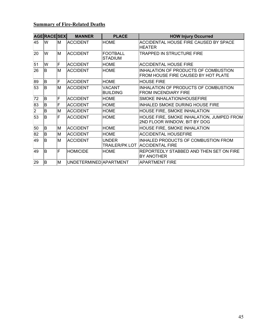## **Summary of Fire-Related Deaths**

|    | <b>AGERACESEX</b> |    | <b>MANNER</b>          | <b>PLACE</b>               | <b>HOW Injury Occurred</b>                                                    |
|----|-------------------|----|------------------------|----------------------------|-------------------------------------------------------------------------------|
| 45 | lw                | ΙM | <b>IACCIDENT</b>       | <b>HOME</b>                | ACCIDENTAL HOUSE FIRE CAUSED BY SPACE<br>HEATER                               |
| 20 | lW                | M  | <b>ACCIDENT</b>        | <b>FOOTBALL</b><br>STADIUM | TRAPPED IN STRUCTURE FIRE                                                     |
| 51 | W                 | F  | <b>ACCIDENT</b>        | <b>HOME</b>                | <b>ACCIDENTAL HOUSE FIRE</b>                                                  |
| 26 | lB.               | M  | ACCIDENT               | <b>HOME</b>                | INHALATION OF PRODUCTS OF COMBUSTION<br>FROM HOUSE FIRE CAUSED BY HOT PLATE   |
| 89 | ΙB.               | F  | <b>ACCIDENT</b>        | <b>HOME</b>                | <b>HOUSE FIRE</b>                                                             |
| 53 | lB.               | M  | ACCIDENT               | VACANT<br><b>BUILDING</b>  | INHALATION OF PRODUCTS OF COMBUSTION<br><b>FROM INCENDIARY FIRE</b>           |
| 72 | lB.               | F  | <b>ACCIDENT</b>        | <b>HOME</b>                | SMOKE INHALATION/HOUSEFIRE                                                    |
| 83 | ΙB                | F  | <b>ACCIDENT</b>        | HOME                       | INHALED SMOKE DURING HOUSE FIRE                                               |
| 2  | ΙB                | M  | <b>ACCIDENT</b>        | <b>HOME</b>                | HOUSE FIRE, SMOKE INHALATION                                                  |
| 53 | lB.               | F  | <b>ACCIDENT</b>        | <b>HOME</b>                | HOUSE FIRE, SMOKE INHALATION, JUMPED FROM<br>2ND FLOOR WINDOW, BIT BY DOG     |
| 50 | ΙB                | M  | ACCIDENT               | <b>HOME</b>                | HOUSE FIRE, SMOKE INHALATION                                                  |
| 82 | lB.               | M  | <b>ACCIDENT</b>        | <b>HOME</b>                | <b>ACCIDENTAL HOUSEFIRE</b>                                                   |
| 49 | lB.               | M  | <b>ACCIDENT</b>        | <b>UNDER</b>               | <b>INHALED PRODUCTS OF COMBUSTION FROM</b><br>TRAILER/PK LOT  ACCIDENTAL FIRE |
| 49 | lB.               | F  | <b>HOMICIDE</b>        | <b>HOME</b>                | REPORTEDLY STABBED AND THEN SET ON FIRE<br>BY ANOTHER                         |
| 29 | lB.               | M  | UNDETERMINED APARTMENT |                            | APARTMENT FIRE                                                                |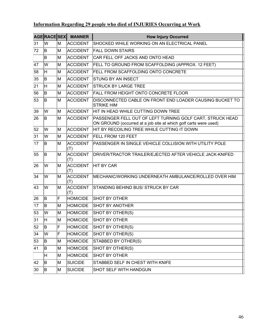## **Information Regarding 29 people who died of INJURIES Occurring at Work**

|    | AGERACESEX |    | <b>MANNER</b>          | <b>How Injury Occurred</b>                                                                                                    |
|----|------------|----|------------------------|-------------------------------------------------------------------------------------------------------------------------------|
| 31 | W          | ΙM | ACCIDENT               | SHOCKED WHILE WORKING ON AN ELECTRICAL PANEL                                                                                  |
| 72 | B.         | M  | <b>ACCIDENT</b>        | <b>FALL DOWN STAIRS</b>                                                                                                       |
|    | B          | ΙM | <b>ACCIDENT</b>        | CAR FELL OFF JACKS AND ONTO HEAD                                                                                              |
| 47 | W          | M  | <b>ACCIDENT</b>        | FELL TO GROUND FROM SCAFFOLDING (APPROX. 12 FEET)                                                                             |
| 58 | H.         | lМ | ACCIDENT               | FELL FROM SCAFFOLDING ONTO CONCRETE                                                                                           |
| 35 | B.         | ΙM | <b>ACCIDENT</b>        | <b>STUNG BY AN INSECT</b>                                                                                                     |
| 21 | H          | M  | <b>ACCIDENT</b>        | <b>STRUCK BY LARGE TREE</b>                                                                                                   |
| 56 | lB.        | ΙM | <b>ACCIDENT</b>        | <b>FALL FROM HEIGHT ONTO CONCRETE FLOOR</b>                                                                                   |
| 53 | B.         | M  | ACCIDENT               | DISCONNECTED CABLE ON FRONT END LOADER CAUSING BUCKET TO<br><b>STRIKE HIM</b>                                                 |
| 39 | W          | M  | <b>ACCIDENT</b>        | HIT IN HEAD WHILE CUTTING DOWN TREE                                                                                           |
| 26 | lB.        | lМ | ACCIDENT               | PASSENGER FELL OUT OF LEFT TURNING GOLF CART, STRUCK HEAD<br>ON GROUND (occurred at a job site at which golf carts were used) |
| 52 | W          | ΙM | <b>ACCIDENT</b>        | HIT BY RECOILING TREE WHILE CUTTING IT DOWN                                                                                   |
| 31 | W          | M  | <b>ACCIDENT</b>        | <b>FELL FROM 120 FEET</b>                                                                                                     |
| 17 | lB.        | ΙM | ACCIDENT<br>(T)        | PASSENGER IN SINGLE VEHICLE COLLISION WITH UTILITY POLE                                                                       |
| 55 | ΙB.        | lМ | <b>ACCIDENT</b><br>(T) | DRIVER/TRACTOR TRAILER/EJECTED AFTER VEHICLE JACK-KNIFED                                                                      |
| 26 | W          | ΙM | ACCIDENT<br>(T)        | HIT BY CAR                                                                                                                    |
| 34 | W          | ΙM | <b>ACCIDENT</b><br>(T) | MECHANIC/WORKING UNDERNEATH AMBULANCE/ROLLED OVER HIM                                                                         |
| 43 | W          | lМ | <b>ACCIDENT</b><br>(T) | STANDING BEHIND BUS/ STRUCK BY CAR                                                                                            |
| 26 | lB.        | F  | <b>HOMICIDE</b>        | <b>SHOT BY OTHER</b>                                                                                                          |
| 17 | B.         | M  | <b>HOMICIDE</b>        | <b>SHOT BY ANOTHER</b>                                                                                                        |
| 53 | lw         | M  | <b>HOMICIDE</b>        | SHOT BY OTHER(S)                                                                                                              |
| 31 | lн.        | lм | <b>HOMICIDE</b>        | <b>SHOT BY OTHER</b>                                                                                                          |
| 52 | ΙB.        | F  | <b>HOMICIDE</b>        | SHOT BY OTHER(S)                                                                                                              |
| 34 | W          | F  | <b>HOMICIDE</b>        | SHOT BY OTHER(S)                                                                                                              |
| 53 | B.         | M  | <b>HOMICIDE</b>        | STABBED BY OTHER(S)                                                                                                           |
| 41 | ΙB.        | M  | <b>HOMICIDE</b>        | SHOT BY OTHER(S)                                                                                                              |
|    | H          | M  | <b>HOMICIDE</b>        | <b>SHOT BY OTHER</b>                                                                                                          |
| 42 | B.         | M  | <b>SUICIDE</b>         | STABBED SELF IN CHEST WITH KNIFE                                                                                              |
| 30 | B.         | M  | <b>SUICIDE</b>         | SHOT SELF WITH HANDGUN                                                                                                        |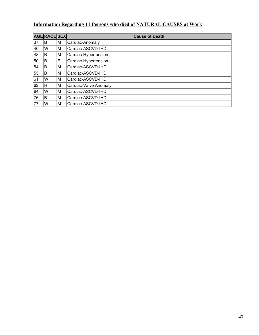## **Information Regarding 11 Persons who died of NATURAL CAUSES at Work**

|    | <b>AGE RACE SEX</b> |    | <b>Cause of Death</b> |
|----|---------------------|----|-----------------------|
| 37 | ΙB                  | M  | Cardiac-Anomaly       |
| 40 | lW                  | M  | Cardiac-ASCVD-IHD     |
| 48 | ΙB                  | M  | Cardiac-Hypertension  |
| 50 | ΙB                  | F  | Cardiac-Hypertension  |
| 54 | B                   | M  | Cardiac-ASCVD-IHD     |
| 55 | ΙB                  | ΙM | Cardiac-ASCVD-IHD     |
| 61 | lW                  | ΙM | Cardiac-ASCVD-IHD     |
| 62 | ΙH                  | M  | Cardiac-Valve Anomaly |
| 64 | lW                  | ΙM | Cardiac-ASCVD-IHD     |
| 76 | B                   | M  | Cardiac-ASCVD-IHD     |
| 77 | lW                  | ΙM | Cardiac-ASCVD-IHD     |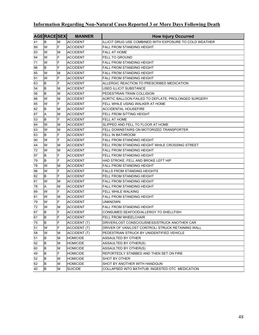## **Information Regarding Non-Natural Cases Reported 3 or More Days Following Death**

|             | <b>AGE RACE SEX</b>     |     | <b>MANNER</b>       | <b>How Injury Occurred</b>                              |
|-------------|-------------------------|-----|---------------------|---------------------------------------------------------|
| 41          | lв                      | ΙM  | <b>ACCIDENT</b>     | ILLICIT DRUG USE COMBINED WITH EXPOSURE TO COLD WEATHER |
| 89          | lw                      | F   | <b>ACCIDENT</b>     | <b>FALL FROM STANDING HEIGHT</b>                        |
| 83          | lw                      | ΙM  | <b>ACCIDENT</b>     | <b>FALL AT HOME</b>                                     |
| 94          | W                       | F   | <b>ACCIDENT</b>     | <b>FELL TO GROUND</b>                                   |
| 71          | lw                      | F   | <b>ACCIDENT</b>     | <b>FALL FROM STANDING HEIGHT</b>                        |
| 96          | lв                      | F   | <b>ACCIDENT</b>     | <b>FALL FROM STANDING HEIGHT</b>                        |
| 85          | lw                      | ΙM  | <b>ACCIDENT</b>     | FALL FROM STANDING HEIGHT                               |
| 91          | lw                      | F   | <b>ACCIDENT</b>     | <b>FALL FROM STANDING HEIGHT</b>                        |
| 63          | lB.                     | F   | ACCIDENT            | ALLERGIC REACTION TO PRESCRIBED MEDICATION              |
| 54          | lв.                     | M   | ACCIDENT            | USED ILLICIT SUBSTANCE                                  |
| 56          | lB.                     | ΙM  | ACCIDENT            | PEDESTRIAN TRAIN COLLISION                              |
| 86          | W                       | ΙM  | <b>ACCIDENT</b>     | AORTIC BALLOON FAILED TO DEFLATE; PROLONGED SURGERY     |
| 85          | W                       | F   | ACCIDENT            | FELL WHILE USING WALKER AT HOME                         |
| 82          | lв                      | M   | ACCIDENT            | ACCIDENTAL HOUSEFIRE                                    |
| 87          | A                       | M   | <b>ACCIDENT</b>     | FELL FROM SITTING HEIGHT                                |
| 53          | B                       | F   | <b>ACCIDENT</b>     | <b>FELL AT HOME</b>                                     |
| 84          | W                       | ΙM  | <b>ACCIDENT</b>     | SLIPPED AND FELL TO FLOOR AT HOME                       |
| 63          | lw                      | M   | ACCIDENT            | FELL DOWNSTAIRS ON MOTORIZED TRANSPORTER                |
| 63          | lB.                     | F   | <b>ACCIDENT</b>     | <b>FELL IN BATHROOM</b>                                 |
| 90          | lw                      | ΙF  | <b>ACCIDENT</b>     | <b>FALL FROM STANDING HEIGHT</b>                        |
| 44          | lw                      | M   | <b>ACCIDENT</b>     | FELL FROM STANDING HEIGHT WHILE CROSSING STREET         |
| 72          | lw                      | ΙM  | <b>ACCIDENT</b>     | <b>FALL FROM STANDING HEIGHT</b>                        |
| 97          | lB.                     | F   | <b>ACCIDENT</b>     | FELL FROM STANDING HEIGHT                               |
| 79          | lB.                     | F   | <b>ACCIDENT</b>     | HAD STROKE, FELL AND BROKE LEFT HIP                     |
| 78          | lw                      | M   | <b>ACCIDENT</b>     | <b>FALL FROM STANDING HEIGHT</b>                        |
| 96          | W                       | F   | <b>ACCIDENT</b>     | <b>FALLS FROM STANDING HEIGHTS</b>                      |
| 82          | lB.                     | F   | <b>ACCIDENT</b>     | FELL FROM STANDING HEIGHT                               |
| 81          | lw                      | ΙM  | <b>ACCIDENT</b>     | <b>FALL FROM STANDING HEIGHT</b>                        |
| 78          | A                       | ΙM  | ACCIDENT            | FALL FROM STANDING HEIGHT                               |
| 89          | lw                      | IF. | <b>ACCIDENT</b>     | FELL WHILE WALKING                                      |
| 81          | W                       | ΙM  | <b>ACCIDENT</b>     | <b>FALL FROM STANDING HEIGHT</b>                        |
| 79          | lw                      | F   | <b>ACCIDENT</b>     | unknown                                                 |
| 72          | lw                      | ΙM  | <b>ACCIDENT</b>     | <b>FALL FROM STANDING HEIGHT</b>                        |
| 67          | lB.                     | F   | <b>ACCIDENT</b>     | CONSUMED SEAFOOD/ALLERGY TO SHELLFISH                   |
| 61          | lв                      | F   | <b>ACCIDENT</b>     | <b>FELL FROM WHEELCHAIR</b>                             |
| $\sqrt{75}$ | $\overline{\mathsf{B}}$ | F   | ACCIDENT (T)        | DRIVER/LOST CONSCIOUSNESS/STRUCK ANOTHER CAR            |
| 51          | lw                      | lF. | ACCIDENT (T)        | DRIVER OF VAN/LOST CONTROL/ STRUCK RETAINING WALL       |
| 58          | lw                      | M   | <b>ACCIDENT (T)</b> | PEDESTRIAN STRUCK BY UNIDENTIFIED VEHICLE               |
| 51          | B                       | M   | HOMICIDE            | ASSAULTED BY OTHER                                      |
| 92          | B                       | M   | <b>HOMICIDE</b>     | ASSAULTED BY OTHER(S)                                   |
| 60          | B                       | M   | HOMICIDE            | ASSAULTED BY OTHER(S)                                   |
| 49          | B                       | F   | <b>HOMICIDE</b>     | REPORTEDLY STABBED AND THEN SET ON FIRE                 |
| 52          | B                       | M   | HOMICIDE            | SHOT BY OTHER                                           |
| 62          | B                       | M   | HOMICIDE            | SHOT BY ANOTHER WITH HANDGUN                            |
| 40          | B                       | ΙM  | SUICIDE             | COLLAPSED INTO BATHTUB; INGESTED OTC MEDICATION         |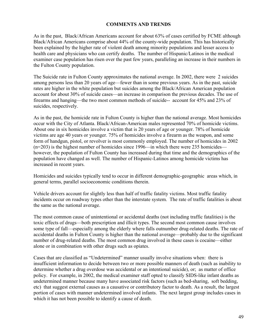#### **COMMENTS AND TRENDS**

As in the past, Black/African Americans account for about 63% of cases certified by FCME although Black/African Americans comprise about 44% of the county-wide population. This has historically been explained by the higher rate of violent death among minority populations and lesser access to health care and physicians who can certify deaths. The number of Hispanic/Latinos in the medical examiner case population has risen over the past few years, paralleling an increase in their numbers in the Fulton County population.

The Suicide rate in Fulton County approximates the national average. In 2002, there were 2 suicides among persons less than 20 years of age—fewer than in some previous years. As in the past, suicide rates are higher in the white population but suicides among the Black/African American population account for about 30% of suicide cases—an increase in comparison the previous decades. The use of firearms and hanging—the two most common methods of suicide-- account for 45% and 23% of suicides, respectively.

As in the past, the homicide rate in Fulton County is higher than the national average. Most homicides occur with the City of Atlanta. Black/African-American males represented 70% of homicide victims. About one in six homicides involve a victim that is 20 years of age or younger. 78% of homicide victims are age 40 years or younger. 75% of homicides involve a firearm as the weapon, and some form of handgun, pistol, or revolver is most commonly employed. The number of homicides in 2002  $(n=203)$  is the highest number of homicides since 1996—in which there were 235 homicides however, the population of Fulton County has increased during that time and the demographics of the population have changed as well. The number of Hispanic-Latinos among homicide victims has increased in recent years.

Homicides and suicides typically tend to occur in different demographic-geographic areas which, in general terms, parallel socioeconomic conditions therein.

Vehicle drivers account for slightly less than half of traffic fatality victims. Most traffic fatality incidents occur on roadway types other than the interstate system. The rate of traffic fatalities is about the same as the national average.

The most common cause of unintentional or accidental deaths (not including traffic fatalities) is the toxic effects of drugs—both prescription and illicit types. The second most common cause involves some type of fall—especially among the elderly where falls outnumber drug-related deaths. The rate of accidental deaths in Fulton County is higher than the national average—probably due to the significant number of drug-related deaths. The most common drug involved in these cases is cocaine—either alone or in combination with other drugs such as opiates.

Cases that are classified as "Undetermined" manner usually involve situations when: there is insufficient information to decide between two or more possible manners of death (such as inability to determine whether a drug overdose was accidental or an intentional suicide), or; as matter of office policy. For example, in 2002, the medical examiner staff opted to classify SIDS-like infant deaths as undetermined manner because many have associated risk factors (such as bed-sharing, soft bedding, etc) that suggest external causes as a causative or contributory factor to death. As a result, the largest portion of cases with manner undetermined involved infants. The next largest group includes cases in which it has not been possible to identify a cause of death.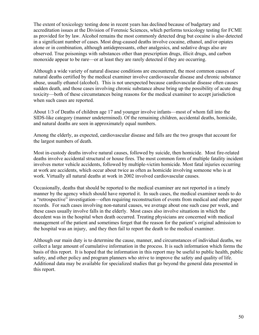The extent of toxicology testing done in recent years has declined because of budgetary and accreditation issues at the Division of Forensic Sciences, which performs toxicology testing for FCME as provided for by law. Alcohol remains the most commonly detected drug but cocaine is also detected in a significant number of cases. Most drug-caused deaths involve cocaine, ethanol, and/or opiates alone or in combination, although antidepressants, other analgesics, and sedative drugs also are observed. True poisonings with substances other than prescription drugs, illicit drugs, and carbon monoxide appear to be rare—or at least they are rarely detected if they are occurring.

Although a wide variety of natural disease conditions are encountered, the most common causes of natural deaths certified by the medical examiner involve cardiovascular disease and chronic substance abuse, usually ethanol (alcohol). This is not unexpected because cardiovascular disease often causes sudden death, and those cases involving chronic substance abuse bring up the possibility of acute drug toxicity—both of these circumstances being reasons for the medical examiner to accept jurisdiction when such cases are reported.

About 1/3 of Deaths of children age 17 and younger involve infants—most of whom fall into the SIDS-like category (manner undetermined). Of the remaining children, accidental deaths, homicide, and natural deaths are seen in approximately equal numbers.

Among the elderly, as expected, cardiovascular disease and falls are the two groups that account for the largest numbers of death.

Most in-custody deaths involve natural causes, followed by suicide, then homicide. Most fire-related deaths involve accidental structural or house fires. The most common form of multiple fatality incident involves motor vehicle accidents, followed by multiple-victim homicide. Most fatal injuries occurring at work are accidents, which occur about twice as often as homicide involving someone who is at work. Virtually all natural deaths at work in 2002 involved cardiovascular causes.

Occasionally, deaths that should be reported to the medical examiner are not reported in a timely manner by the agency which should have reported it. In such cases, the medical examiner needs to do a "retrospective" investigation—often requiring reconstruction of events from medical and other paper records. For such cases involving non-natural causes, we average about one such case per week, and these cases usually involve falls in the elderly. Most cases also involve situations in which the decedent was in the hospital when death occurred. Treating physicians are concerned with medical management of the patient and sometimes forget that the reason for the patient's original admission to the hospital was an injury, and they then fail to report the death to the medical examiner.

Although our main duty is to determine the cause, manner, and circumstances of individual deaths, we collect a large amount of cumulative information in the process. It is such information which forms the basis of this report. It is hoped that the information in this report may be useful to public health, public safety, and other policy and program planners who strive to improve the safety and quality of life. Additional data may be available for specialized studies that go beyond the general data presented in this report.